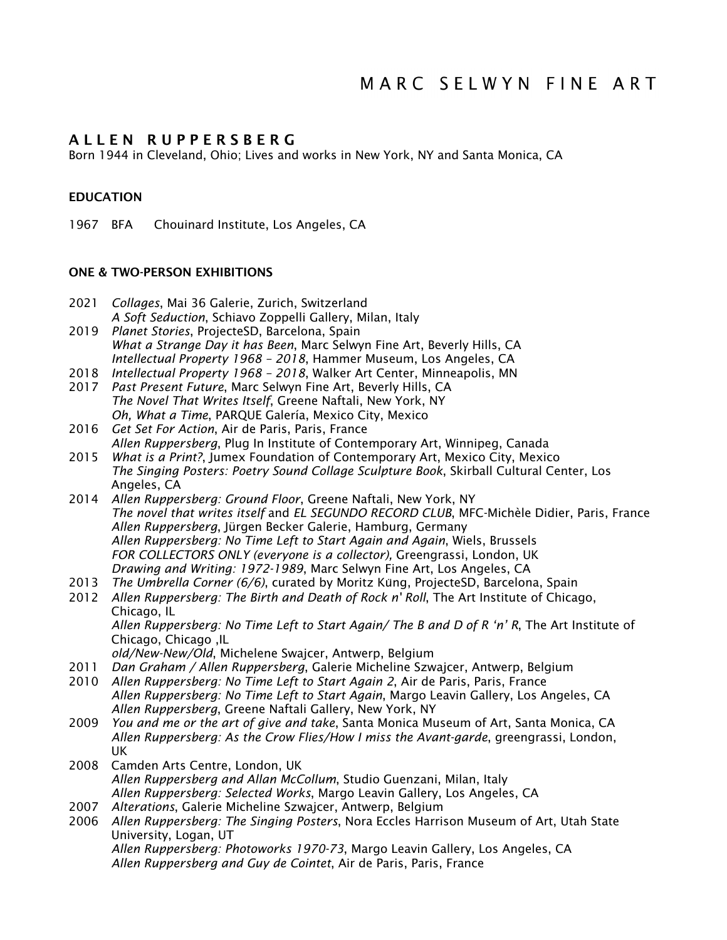# A L L E N R U P P E R S B E R G

Born 1944 in Cleveland, Ohio; Lives and works in New York, NY and Santa Monica, CA

## **EDUCATION**

1967 BFA Chouinard Institute, Los Angeles, CA

### ONE & TWO-PERSON EXHIBITIONS

- 2021 *Collages*, Mai 36 Galerie, Zurich, Switzerland *A Soft Seduction*, Schiavo Zoppelli Gallery, Milan, Italy 2019 *Planet Stories*, ProjecteSD, Barcelona, Spain
- *What a Strange Day it has Been*, Marc Selwyn Fine Art, Beverly Hills, CA *Intellectual Property 1968 – 2018*, Hammer Museum, Los Angeles, CA
- 2018 *Intellectual Property 1968 – 2018*, Walker Art Center, Minneapolis, MN
- 2017 *Past Present Future*, Marc Selwyn Fine Art, Beverly Hills, CA *The Novel That Writes Itself*, Greene Naftali, New York, NY *Oh, What a Time*, PARQUE Galería, Mexico City, Mexico
- 2016 *Get Set For Action*, Air de Paris, Paris, France *Allen Ruppersberg*, Plug In Institute of Contemporary Art, Winnipeg, Canada
- 2015 *What is a Print?*, Jumex Foundation of Contemporary Art, Mexico City, Mexico *The Singing Posters: Poetry Sound Collage Sculpture Book*, Skirball Cultural Center, Los Angeles, CA
- 2014 *Allen Ruppersberg: Ground Floor*, Greene Naftali, New York, NY *The novel that writes itself* and *EL SEGUNDO RECORD CLUB*, MFC-Michèle Didier, Paris, France *Allen Ruppersberg*, Jürgen Becker Galerie, Hamburg, Germany *Allen Ruppersberg: No Time Left to Start Again and Again*, Wiels, Brussels *FOR COLLECTORS ONLY (everyone is a collector),* Greengrassi, London, UK *Drawing and Writing: 1972-1989*, Marc Selwyn Fine Art, Los Angeles, CA
- 2013 *The Umbrella Corner (6/6)*, curated by Moritz Küng, ProjecteSD, Barcelona, Spain
- 2012 *Allen Ruppersberg: The Birth and Death of Rock n' Roll*, The Art Institute of Chicago, Chicago, IL

*Allen Ruppersberg: No Time Left to Start Again/ The B and D of R 'n' R*, The Art Institute of Chicago, Chicago ,IL

*old/New-New/Old*, Michelene Swajcer, Antwerp, Belgium

- 2011 *Dan Graham / Allen Ruppersberg*, Galerie Micheline Szwajcer, Antwerp, Belgium
- 2010 *Allen Ruppersberg: No Time Left to Start Again 2*, Air de Paris, Paris, France *Allen Ruppersberg: No Time Left to Start Again*, Margo Leavin Gallery, Los Angeles, CA *Allen Ruppersberg*, Greene Naftali Gallery, New York, NY
- 2009 *You and me or the art of give and take*, Santa Monica Museum of Art, Santa Monica, CA *Allen Ruppersberg: As the Crow Flies/How I miss the Avant-garde*, greengrassi, London, UK
- 2008 Camden Arts Centre, London, UK *Allen Ruppersberg and Allan McCollum*, Studio Guenzani, Milan, Italy *Allen Ruppersberg: Selected Works*, Margo Leavin Gallery, Los Angeles, CA
- 2007 *Alterations*, Galerie Micheline Szwajcer, Antwerp, Belgium
- 2006 *Allen Ruppersberg: The Singing Posters*, Nora Eccles Harrison Museum of Art, Utah State University, Logan, UT *Allen Ruppersberg: Photoworks 1970-73*, Margo Leavin Gallery, Los Angeles, CA *Allen Ruppersberg and Guy de Cointet*, Air de Paris, Paris, France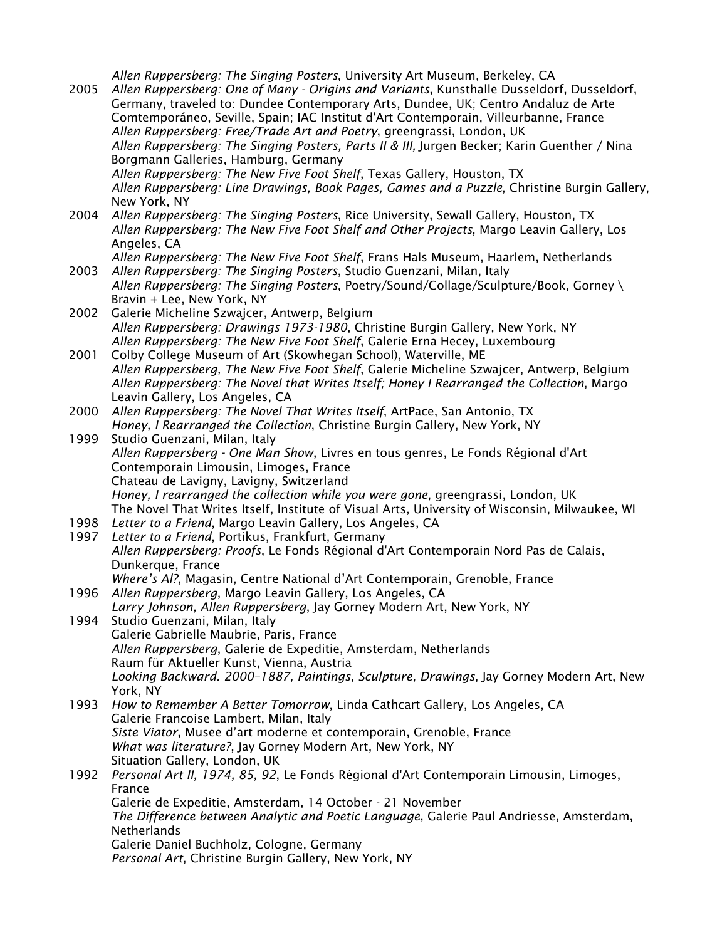*Allen Ruppersberg: The Singing Posters*, University Art Museum, Berkeley, CA 2005 *Allen Ruppersberg: One of Many - Origins and Variants*, Kunsthalle Dusseldorf, Dusseldorf, Germany, traveled to: Dundee Contemporary Arts, Dundee, UK; Centro Andaluz de Arte Comtemporáneo, Seville, Spain; IAC Institut d'Art Contemporain, Villeurbanne, France *Allen Ruppersberg: Free/Trade Art and Poetry*, greengrassi, London, UK *Allen Ruppersberg: The Singing Posters, Parts II & III,* Jurgen Becker; Karin Guenther / Nina Borgmann Galleries, Hamburg, Germany *Allen Ruppersberg: The New Five Foot Shelf*, Texas Gallery, Houston, TX *Allen Ruppersberg: Line Drawings, Book Pages, Games and a Puzzle*, Christine Burgin Gallery, New York, NY 2004 *Allen Ruppersberg: The Singing Posters*, Rice University, Sewall Gallery, Houston, TX *Allen Ruppersberg: The New Five Foot Shelf and Other Projects*, Margo Leavin Gallery, Los Angeles, CA *Allen Ruppersberg: The New Five Foot Shelf*, Frans Hals Museum, Haarlem, Netherlands 2003 *Allen Ruppersberg: The Singing Posters*, Studio Guenzani, Milan, Italy *Allen Ruppersberg: The Singing Posters*, Poetry/Sound/Collage/Sculpture/Book, Gorney \ Bravin + Lee, New York, NY 2002 Galerie Micheline Szwajcer, Antwerp, Belgium *Allen Ruppersberg: Drawings 1973-1980*, Christine Burgin Gallery, New York, NY *Allen Ruppersberg: The New Five Foot Shelf*, Galerie Erna Hecey, Luxembourg 2001 Colby College Museum of Art (Skowhegan School), Waterville, ME *Allen Ruppersberg, The New Five Foot Shelf*, Galerie Micheline Szwajcer, Antwerp, Belgium *Allen Ruppersberg: The Novel that Writes Itself; Honey I Rearranged the Collection*, Margo Leavin Gallery, Los Angeles, CA 2000 *Allen Ruppersberg: The Novel That Writes Itself*, ArtPace, San Antonio, TX *Honey, I Rearranged the Collection*, Christine Burgin Gallery, New York, NY 1999 Studio Guenzani, Milan, Italy *Allen Ruppersberg - One Man Show*, Livres en tous genres, Le Fonds Régional d'Art Contemporain Limousin, Limoges, France Chateau de Lavigny, Lavigny, Switzerland *Honey, I rearranged the collection while you were gone*, greengrassi, London, UK The Novel That Writes Itself, Institute of Visual Arts, University of Wisconsin, Milwaukee, WI 1998 *Letter to a Friend*, Margo Leavin Gallery, Los Angeles, CA 1997 *Letter to a Friend*, Portikus, Frankfurt, Germany *Allen Ruppersberg: Proofs*, Le Fonds Régional d'Art Contemporain Nord Pas de Calais, Dunkerque, France *Where's Al?*, Magasin, Centre National d'Art Contemporain, Grenoble, France 1996 *Allen Ruppersberg*, Margo Leavin Gallery, Los Angeles, CA *Larry Johnson, Allen Ruppersberg*, Jay Gorney Modern Art, New York, NY 1994 Studio Guenzani, Milan, Italy Galerie Gabrielle Maubrie, Paris, France *Allen Ruppersberg*, Galerie de Expeditie, Amsterdam, Netherlands Raum für Aktueller Kunst, Vienna, Austria *Looking Backward. 2000–1887, Paintings, Sculpture, Drawings*, Jay Gorney Modern Art, New York, NY 1993 *How to Remember A Better Tomorrow*, Linda Cathcart Gallery, Los Angeles, CA Galerie Francoise Lambert, Milan, Italy *Siste Viator*, Musee d'art moderne et contemporain, Grenoble, France *What was literature?*, Jay Gorney Modern Art, New York, NY Situation Gallery, London, UK 1992 *Personal Art II, 1974, 85, 92*, Le Fonds Régional d'Art Contemporain Limousin, Limoges, France Galerie de Expeditie, Amsterdam, 14 October - 21 November *The Difference between Analytic and Poetic Language*, Galerie Paul Andriesse, Amsterdam, **Netherlands** Galerie Daniel Buchholz, Cologne, Germany *Personal Art*, Christine Burgin Gallery, New York, NY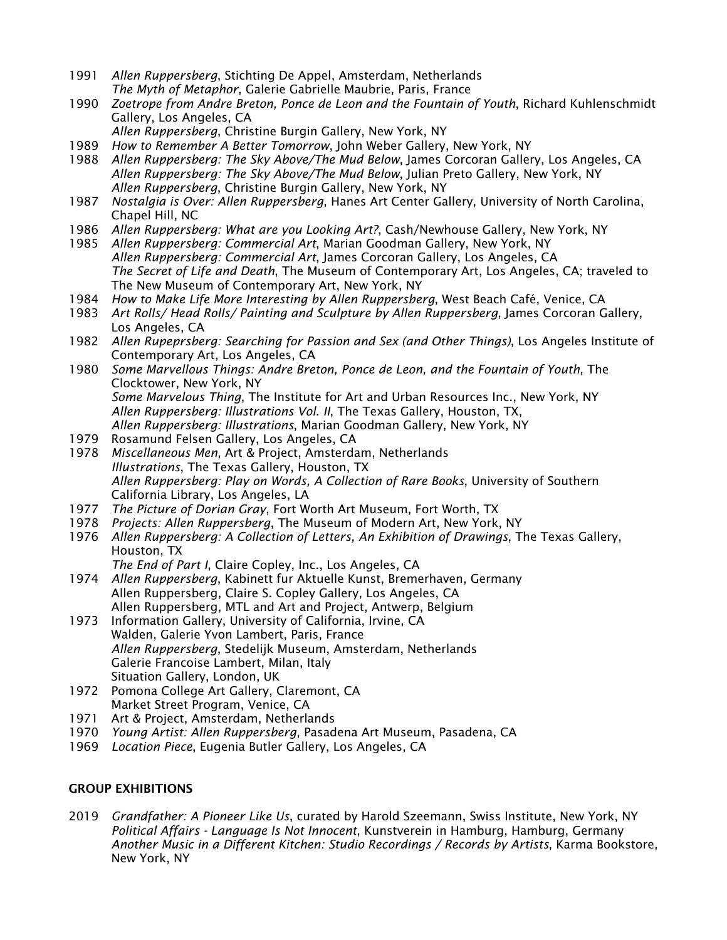- 1991 *Allen Ruppersberg*, Stichting De Appel, Amsterdam, Netherlands *The Myth of Metaphor*, Galerie Gabrielle Maubrie, Paris, France
- 1990 *Zoetrope from Andre Breton, Ponce de Leon and the Fountain of Youth*, Richard Kuhlenschmidt Gallery, Los Angeles, CA
	- *Allen Ruppersberg*, Christine Burgin Gallery, New York, NY
- 1989 *How to Remember A Better Tomorrow*, John Weber Gallery, New York, NY
- 1988 *Allen Ruppersberg: The Sky Above/The Mud Below*, James Corcoran Gallery, Los Angeles, CA *Allen Ruppersberg: The Sky Above/The Mud Below*, Julian Preto Gallery, New York, NY *Allen Ruppersberg*, Christine Burgin Gallery, New York, NY
- 1987 *Nostalgia is Over: Allen Ruppersberg*, Hanes Art Center Gallery, University of North Carolina, Chapel Hill, NC
- 1986 *Allen Ruppersberg: What are you Looking Art?*, Cash/Newhouse Gallery, New York, NY
- 1985 *Allen Ruppersberg: Commercial Art*, Marian Goodman Gallery, New York, NY *Allen Ruppersberg: Commercial Art*, James Corcoran Gallery, Los Angeles, CA *The Secret of Life and Death*, The Museum of Contemporary Art, Los Angeles, CA; traveled to The New Museum of Contemporary Art, New York, NY
- 1984 *How to Make Life More Interesting by Allen Ruppersberg*, West Beach Café, Venice, CA
- 1983 *Art Rolls/ Head Rolls/ Painting and Sculpture by Allen Ruppersberg*, James Corcoran Gallery, Los Angeles, CA
- 1982 *Allen Rupeprsberg: Searching for Passion and Sex (and Other Things)*, Los Angeles Institute of Contemporary Art, Los Angeles, CA
- 1980 *Some Marvellous Things: Andre Breton, Ponce de Leon, and the Fountain of Youth*, The Clocktower, New York, NY *Some Marvelous Thing*, The Institute for Art and Urban Resources Inc., New York, NY *Allen Ruppersberg: Illustrations Vol. II*, The Texas Gallery, Houston, TX, *Allen Ruppersberg: Illustrations*, Marian Goodman Gallery, New York, NY
- 1979 Rosamund Felsen Gallery, Los Angeles, CA
- 1978 *Miscellaneous Men*, Art & Project, Amsterdam, Netherlands *Illustrations*, The Texas Gallery, Houston, TX *Allen Ruppersberg: Play on Words, A Collection of Rare Books*, University of Southern California Library, Los Angeles, LA
- 1977 *The Picture of Dorian Gray*, Fort Worth Art Museum, Fort Worth, TX
- 1978 *Projects: Allen Ruppersberg*, The Museum of Modern Art, New York, NY
- 1976 *Allen Ruppersberg: A Collection of Letters, An Exhibition of Drawings*, The Texas Gallery, Houston, TX
	- *The End of Part I*, Claire Copley, Inc., Los Angeles, CA
- 1974 *Allen Ruppersberg*, Kabinett fur Aktuelle Kunst, Bremerhaven, Germany Allen Ruppersberg, Claire S. Copley Gallery, Los Angeles, CA Allen Ruppersberg, MTL and Art and Project, Antwerp, Belgium
- 1973 Information Gallery, University of California, Irvine, CA Walden, Galerie Yvon Lambert, Paris, France *Allen Ruppersberg*, Stedelijk Museum, Amsterdam, Netherlands Galerie Francoise Lambert, Milan, Italy Situation Gallery, London, UK
- 1972 Pomona College Art Gallery, Claremont, CA Market Street Program, Venice, CA
- 1971 Art & Project, Amsterdam, Netherlands
- 1970 *Young Artist: Allen Ruppersberg*, Pasadena Art Museum, Pasadena, CA
- 1969 *Location Piece*, Eugenia Butler Gallery, Los Angeles, CA

### GROUP EXHIBITIONS

2019 *Grandfather: A Pioneer Like Us*, curated by Harold Szeemann, Swiss Institute, New York, NY *Political Affairs - Language Is Not Innocent*, Kunstverein in Hamburg, Hamburg, Germany *Another Music in a Different Kitchen: Studio Recordings / Records by Artists*, Karma Bookstore, New York, NY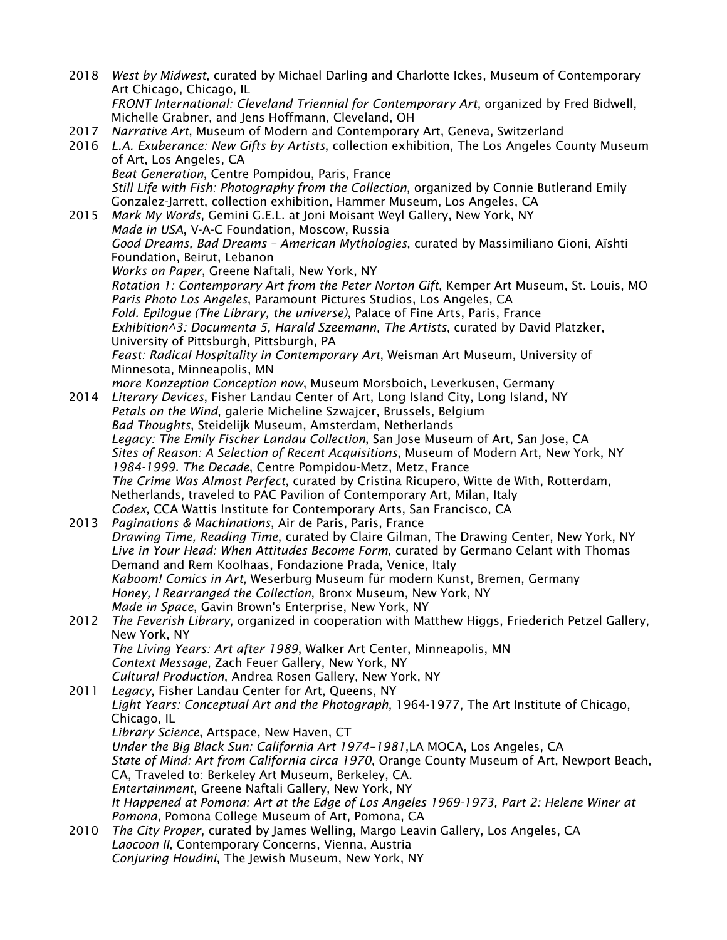2018 *West by Midwest*, curated by Michael Darling and Charlotte Ickes, Museum of Contemporary Art Chicago, Chicago, IL *FRONT International: Cleveland Triennial for Contemporary Art*, organized by Fred Bidwell, Michelle Grabner, and Jens Hoffmann, Cleveland, OH 2017 *Narrative Art*, Museum of Modern and Contemporary Art, Geneva, Switzerland 2016 *L.A. Exuberance: New Gifts by Artists*, collection exhibition, The Los Angeles County Museum of Art, Los Angeles, CA *Beat Generation*, Centre Pompidou, Paris, France *Still Life with Fish: Photography from the Collection*, organized by Connie Butlerand Emily Gonzalez-Jarrett, collection exhibition, Hammer Museum, Los Angeles, CA 2015 *Mark My Words*, Gemini G.E.L. at Joni Moisant Weyl Gallery, New York, NY *Made in USA*, V-A-C Foundation, Moscow, Russia *Good Dreams, Bad Dreams – American Mythologies*, curated by Massimiliano Gioni, Aïshti Foundation, Beirut, Lebanon *Works on Paper*, Greene Naftali, New York, NY *Rotation 1: Contemporary Art from the Peter Norton Gift*, Kemper Art Museum, St. Louis, MO *Paris Photo Los Angeles*, Paramount Pictures Studios, Los Angeles, CA *Fold. Epilogue (The Library, the universe)*, Palace of Fine Arts, Paris, France *Exhibition^3: Documenta 5, Harald Szeemann, The Artists*, curated by David Platzker, University of Pittsburgh, Pittsburgh, PA *Feast: Radical Hospitality in Contemporary Art*, Weisman Art Museum, University of Minnesota, Minneapolis, MN *more Konzeption Conception now*, Museum Morsboich, Leverkusen, Germany 2014 *Literary Devices*, Fisher Landau Center of Art, Long Island City, Long Island, NY *Petals on the Wind*, galerie Micheline Szwajcer, Brussels, Belgium *Bad Thoughts*, Steidelijk Museum, Amsterdam, Netherlands *Legacy: The Emily Fischer Landau Collection*, San Jose Museum of Art, San Jose, CA *Sites of Reason: A Selection of Recent Acquisitions*, Museum of Modern Art, New York, NY *1984-1999. The Decade*, Centre Pompidou-Metz, Metz, France *The Crime Was Almost Perfect*, curated by Cristina Ricupero, Witte de With, Rotterdam, Netherlands, traveled to PAC Pavilion of Contemporary Art, Milan, Italy *Codex*, CCA Wattis Institute for Contemporary Arts, San Francisco, CA 2013 *Paginations & Machinations*, Air de Paris, Paris, France *Drawing Time, Reading Time*, curated by Claire Gilman, The Drawing Center, New York, NY *Live in Your Head: When Attitudes Become Form*, curated by Germano Celant with Thomas Demand and Rem Koolhaas, Fondazione Prada, Venice, Italy *Kaboom! Comics in Art*, Weserburg Museum für modern Kunst, Bremen, Germany *Honey, I Rearranged the Collection*, Bronx Museum, New York, NY *Made in Space*, Gavin Brown's Enterprise, New York, NY 2012 *The Feverish Library*, organized in cooperation with Matthew Higgs, Friederich Petzel Gallery, New York, NY *The Living Years: Art after 1989*, Walker Art Center, Minneapolis, MN *Context Message*, Zach Feuer Gallery, New York, NY *Cultural Production*, Andrea Rosen Gallery, New York, NY 2011 *Legacy*, Fisher Landau Center for Art, Queens, NY *Light Years: Conceptual Art and the Photograph*, 1964-1977, The Art Institute of Chicago, Chicago, IL *Library Science*, Artspace, New Haven, CT *Under the Big Black Sun: California Art 1974–1981*,LA MOCA, Los Angeles, CA *State of Mind: Art from California circa 1970*, Orange County Museum of Art, Newport Beach, CA, Traveled to: Berkeley Art Museum, Berkeley, CA. *Entertainment*, Greene Naftali Gallery, New York, NY *It Happened at Pomona: Art at the Edge of Los Angeles 1969-1973, Part 2: Helene Winer at Pomona,* Pomona College Museum of Art, Pomona, CA 2010 *The City Proper*, curated by James Welling, Margo Leavin Gallery, Los Angeles, CA *Laocoon II*, Contemporary Concerns, Vienna, Austria *Conjuring Houdini*, The Jewish Museum, New York, NY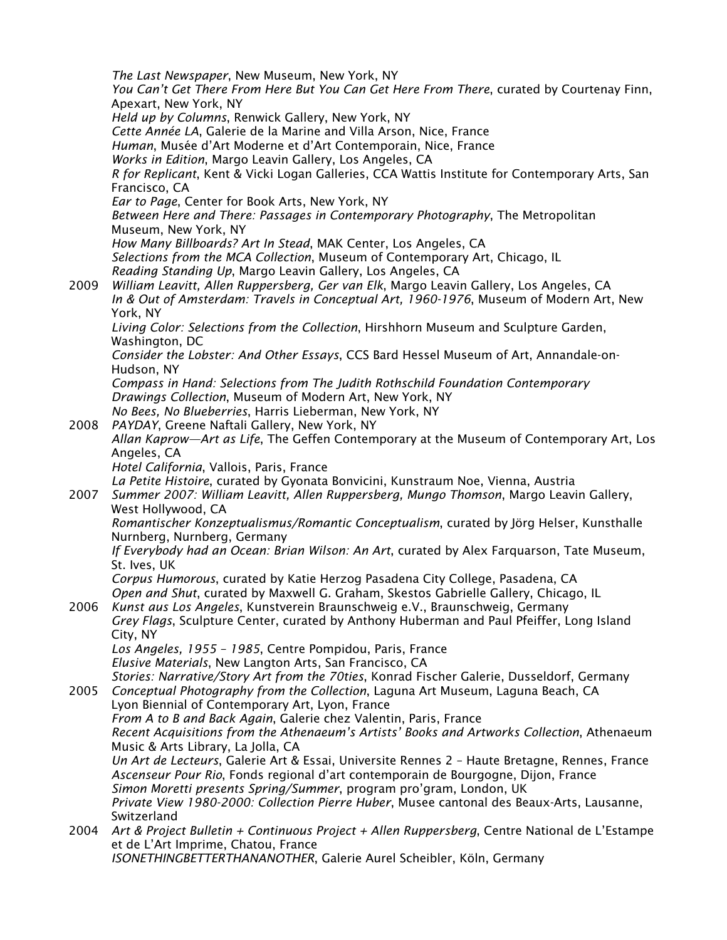*The Last Newspaper*, New Museum, New York, NY *You Can't Get There From Here But You Can Get Here From There*, curated by Courtenay Finn, Apexart, New York, NY *Held up by Columns*, Renwick Gallery, New York, NY *Cette Année LA*, Galerie de la Marine and Villa Arson, Nice, France *Human*, Musée d'Art Moderne et d'Art Contemporain, Nice, France *Works in Edition*, Margo Leavin Gallery, Los Angeles, CA *R for Replicant*, Kent & Vicki Logan Galleries, CCA Wattis Institute for Contemporary Arts, San Francisco, CA *Ear to Page*, Center for Book Arts, New York, NY *Between Here and There: Passages in Contemporary Photography*, The Metropolitan Museum, New York, NY *How Many Billboards? Art In Stead*, MAK Center, Los Angeles, CA *Selections from the MCA Collection*, Museum of Contemporary Art, Chicago, IL *Reading Standing Up*, Margo Leavin Gallery, Los Angeles, CA 2009 *William Leavitt, Allen Ruppersberg, Ger van Elk*, Margo Leavin Gallery, Los Angeles, CA *In & Out of Amsterdam: Travels in Conceptual Art, 1960-1976*, Museum of Modern Art, New York, NY *Living Color: Selections from the Collection*, Hirshhorn Museum and Sculpture Garden, Washington, DC *Consider the Lobster: And Other Essays*, CCS Bard Hessel Museum of Art, Annandale-on-Hudson, NY *Compass in Hand: Selections from The Judith Rothschild Foundation Contemporary Drawings Collection*, Museum of Modern Art, New York, NY *No Bees, No Blueberries*, Harris Lieberman, New York, NY 2008 *PAYDAY*, Greene Naftali Gallery, New York, NY *Allan Kaprow—Art as Life*, The Geffen Contemporary at the Museum of Contemporary Art, Los Angeles, CA *Hotel California*, Vallois, Paris, France *La Petite Histoire*, curated by Gyonata Bonvicini, Kunstraum Noe, Vienna, Austria 2007 *Summer 2007: William Leavitt, Allen Ruppersberg, Mungo Thomson*, Margo Leavin Gallery, West Hollywood, CA *Romantischer Konzeptualismus/Romantic Conceptualism*, curated by Jörg Helser, Kunsthalle Nurnberg, Nurnberg, Germany *If Everybody had an Ocean: Brian Wilson: An Art*, curated by Alex Farquarson, Tate Museum, St. Ives, UK *Corpus Humorous*, curated by Katie Herzog Pasadena City College, Pasadena, CA *Open and Shut*, curated by Maxwell G. Graham, Skestos Gabrielle Gallery, Chicago, IL 2006 *Kunst aus Los Angeles*, Kunstverein Braunschweig e.V., Braunschweig, Germany *Grey Flags*, Sculpture Center, curated by Anthony Huberman and Paul Pfeiffer, Long Island City, NY *Los Angeles, 1955 – 1985*, Centre Pompidou, Paris, France *Elusive Materials*, New Langton Arts, San Francisco, CA *Stories: Narrative/Story Art from the 70ties*, Konrad Fischer Galerie, Dusseldorf, Germany 2005 *Conceptual Photography from the Collection*, Laguna Art Museum, Laguna Beach, CA Lyon Biennial of Contemporary Art, Lyon, France *From A to B and Back Again*, Galerie chez Valentin, Paris, France *Recent Acquisitions from the Athenaeum's Artists' Books and Artworks Collection*, Athenaeum Music & Arts Library, La Jolla, CA *Un Art de Lecteurs*, Galerie Art & Essai, Universite Rennes 2 – Haute Bretagne, Rennes, France *Ascenseur Pour Rio*, Fonds regional d'art contemporain de Bourgogne, Dijon, France *Simon Moretti presents Spring/Summer*, program pro'gram, London, UK *Private View 1980-2000: Collection Pierre Huber*, Musee cantonal des Beaux-Arts, Lausanne, Switzerland 2004 *Art & Project Bulletin + Continuous Project + Allen Ruppersberg*, Centre National de L'Estampe et de L'Art Imprime, Chatou, France *ISONETHINGBETTERTHANANOTHER*, Galerie Aurel Scheibler, Köln, Germany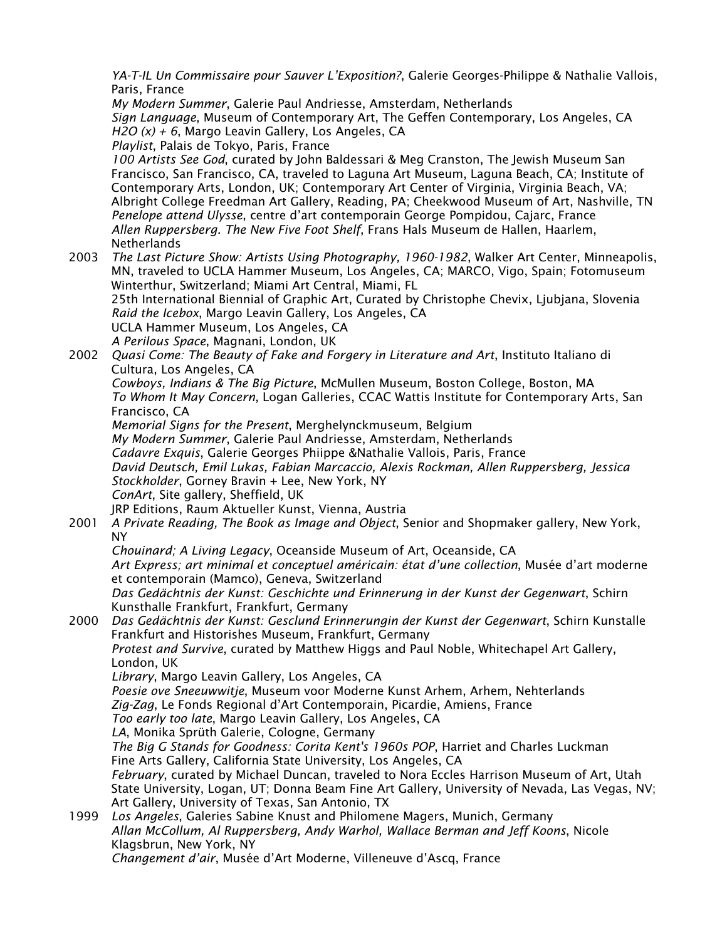*YA-T-IL Un Commissaire pour Sauver L'Exposition?*, Galerie Georges-Philippe & Nathalie Vallois, Paris, France

*My Modern Summer*, Galerie Paul Andriesse, Amsterdam, Netherlands *Sign Language*, Museum of Contemporary Art, The Geffen Contemporary, Los Angeles, CA *H2O (x) + 6*, Margo Leavin Gallery, Los Angeles, CA

*Playlist*, Palais de Tokyo, Paris, France

*100 Artists See God*, curated by John Baldessari & Meg Cranston, The Jewish Museum San Francisco, San Francisco, CA, traveled to Laguna Art Museum, Laguna Beach, CA; Institute of Contemporary Arts, London, UK; Contemporary Art Center of Virginia, Virginia Beach, VA; Albright College Freedman Art Gallery, Reading, PA; Cheekwood Museum of Art, Nashville, TN *Penelope attend Ulysse*, centre d'art contemporain George Pompidou, Cajarc, France *Allen Ruppersberg. The New Five Foot Shelf*, Frans Hals Museum de Hallen, Haarlem, **Netherlands** 

- 2003 *The Last Picture Show: Artists Using Photography, 1960-1982*, Walker Art Center, Minneapolis, MN, traveled to UCLA Hammer Museum, Los Angeles, CA; MARCO, Vigo, Spain; Fotomuseum Winterthur, Switzerland; Miami Art Central, Miami, FL 25th International Biennial of Graphic Art, Curated by Christophe Chevix, Ljubjana, Slovenia *Raid the Icebox*, Margo Leavin Gallery, Los Angeles, CA UCLA Hammer Museum, Los Angeles, CA *A Perilous Space*, Magnani, London, UK
- 2002 *Quasi Come: The Beauty of Fake and Forgery in Literature and Art*, Instituto Italiano di Cultura, Los Angeles, CA

*Cowboys, Indians & The Big Picture*, McMullen Museum, Boston College, Boston, MA *To Whom It May Concern*, Logan Galleries, CCAC Wattis Institute for Contemporary Arts, San Francisco, CA

*Memorial Signs for the Present*, Merghelynckmuseum, Belgium *My Modern Summer*, Galerie Paul Andriesse, Amsterdam, Netherlands *Cadavre Exquis*, Galerie Georges Phiippe &Nathalie Vallois, Paris, France *David Deutsch, Emil Lukas, Fabian Marcaccio, Alexis Rockman, Allen Ruppersberg, Jessica Stockholder*, Gorney Bravin + Lee, New York, NY *ConArt*, Site gallery, Sheffield, UK JRP Editions, Raum Aktueller Kunst, Vienna, Austria

2001 *A Private Reading, The Book as Image and Object*, Senior and Shopmaker gallery, New York, NY

*Chouinard; A Living Legacy*, Oceanside Museum of Art, Oceanside, CA

*Art Express; art minimal et conceptuel américain: état d'une collection*, Musée d'art moderne et contemporain (Mamco), Geneva, Switzerland

*Das Gedächtnis der Kunst: Geschichte und Erinnerung in der Kunst der Gegenwart*, Schirn Kunsthalle Frankfurt, Frankfurt, Germany

2000 *Das Gedächtnis der Kunst: Gesclund Erinnerungin der Kunst der Gegenwart*, Schirn Kunstalle Frankfurt and Historishes Museum, Frankfurt, Germany

*Protest and Survive*, curated by Matthew Higgs and Paul Noble, Whitechapel Art Gallery, London, UK

*Library*, Margo Leavin Gallery, Los Angeles, CA

*Poesie ove Sneeuwwitje*, Museum voor Moderne Kunst Arhem, Arhem, Nehterlands *Zig-Zag*, Le Fonds Regional d'Art Contemporain, Picardie, Amiens, France

*Too early too late*, Margo Leavin Gallery, Los Angeles, CA

*LA*, Monika Sprüth Galerie, Cologne, Germany

*The Big G Stands for Goodness: Corita Kent's 1960s POP*, Harriet and Charles Luckman Fine Arts Gallery, California State University, Los Angeles, CA

*February*, curated by Michael Duncan, traveled to Nora Eccles Harrison Museum of Art, Utah State University, Logan, UT; Donna Beam Fine Art Gallery, University of Nevada, Las Vegas, NV; Art Gallery, University of Texas, San Antonio, TX

1999 *Los Angeles*, Galeries Sabine Knust and Philomene Magers, Munich, Germany *Allan McCollum, Al Ruppersberg, Andy Warhol, Wallace Berman and Jeff Koons*, Nicole Klagsbrun, New York, NY *Changement d'air*, Musée d'Art Moderne, Villeneuve d'Ascq, France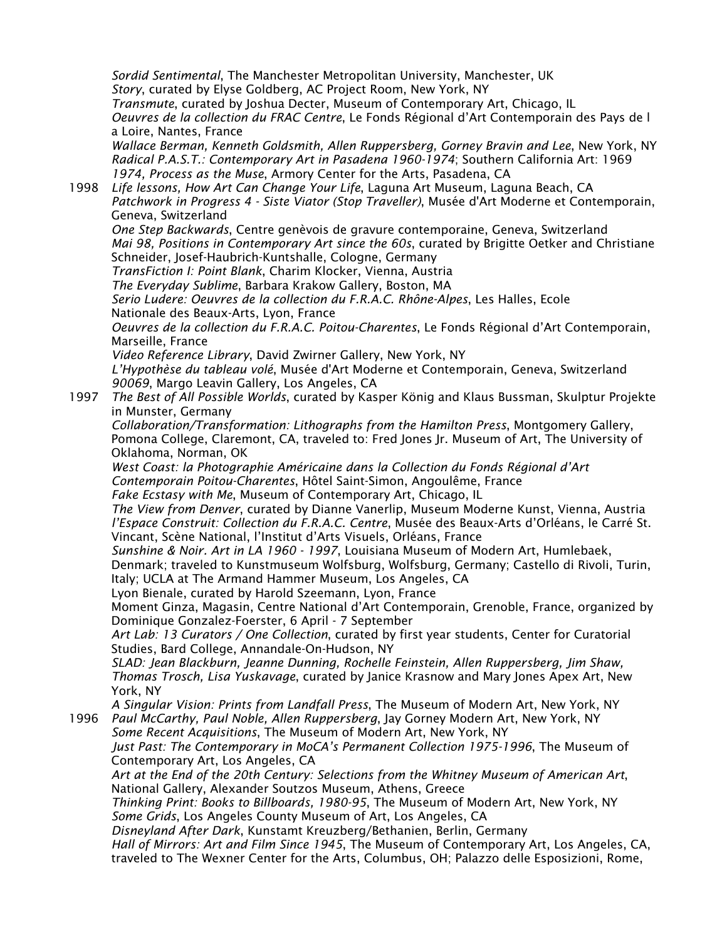*Sordid Sentimental*, The Manchester Metropolitan University, Manchester, UK *Story*, curated by Elyse Goldberg, AC Project Room, New York, NY *Transmute*, curated by Joshua Decter, Museum of Contemporary Art, Chicago, IL *Oeuvres de la collection du FRAC Centre*, Le Fonds Régional d'Art Contemporain des Pays de l a Loire, Nantes, France *Wallace Berman, Kenneth Goldsmith, Allen Ruppersberg, Gorney Bravin and Lee*, New York, NY *Radical P.A.S.T.: Contemporary Art in Pasadena 1960-1974*; Southern California Art: 1969 *1974, Process as the Muse*, Armory Center for the Arts, Pasadena, CA 1998 *Life lessons, How Art Can Change Your Life*, Laguna Art Museum, Laguna Beach, CA *Patchwork in Progress 4 - Siste Viator (Stop Traveller)*, Musée d'Art Moderne et Contemporain, Geneva, Switzerland *One Step Backwards*, Centre genèvois de gravure contemporaine, Geneva, Switzerland *Mai 98, Positions in Contemporary Art since the 60s*, curated by Brigitte Oetker and Christiane Schneider, Josef-Haubrich-Kuntshalle, Cologne, Germany *TransFiction I: Point Blank*, Charim Klocker, Vienna, Austria *The Everyday Sublime*, Barbara Krakow Gallery, Boston, MA *Serio Ludere: Oeuvres de la collection du F.R.A.C. Rhône-Alpes*, Les Halles, Ecole Nationale des Beaux-Arts, Lyon, France *Oeuvres de la collection du F.R.A.C. Poitou-Charentes*, Le Fonds Régional d'Art Contemporain, Marseille, France *Video Reference Library*, David Zwirner Gallery, New York, NY *L'Hypothèse du tableau volé*, Musée d'Art Moderne et Contemporain, Geneva, Switzerland *90069*, Margo Leavin Gallery, Los Angeles, CA 1997 *The Best of All Possible Worlds*, curated by Kasper König and Klaus Bussman, Skulptur Projekte in Munster, Germany *Collaboration/Transformation: Lithographs from the Hamilton Press*, Montgomery Gallery, Pomona College, Claremont, CA, traveled to: Fred Jones Jr. Museum of Art, The University of Oklahoma, Norman, OK *West Coast: la Photographie Américaine dans la Collection du Fonds Régional d'Art Contemporain Poitou-Charentes*, Hôtel Saint-Simon, Angoulême, France *Fake Ecstasy with Me*, Museum of Contemporary Art, Chicago, IL *The View from Denver*, curated by Dianne Vanerlip, Museum Moderne Kunst, Vienna, Austria *l'Espace Construit: Collection du F.R.A.C. Centre*, Musée des Beaux-Arts d'Orléans, le Carré St. Vincant, Scène National, l'Institut d'Arts Visuels, Orléans, France *Sunshine & Noir. Art in LA 1960 - 1997*, Louisiana Museum of Modern Art, Humlebaek, Denmark; traveled to Kunstmuseum Wolfsburg, Wolfsburg, Germany; Castello di Rivoli, Turin, Italy; UCLA at The Armand Hammer Museum, Los Angeles, CA Lyon Bienale, curated by Harold Szeemann, Lyon, France Moment Ginza, Magasin, Centre National d'Art Contemporain, Grenoble, France, organized by Dominique Gonzalez-Foerster, 6 April - 7 September *Art Lab: 13 Curators / One Collection*, curated by first year students, Center for Curatorial Studies, Bard College, Annandale-On-Hudson, NY *SLAD: Jean Blackburn, Jeanne Dunning, Rochelle Feinstein, Allen Ruppersberg, Jim Shaw, Thomas Trosch, Lisa Yuskavage*, curated by Janice Krasnow and Mary Jones Apex Art, New York, NY *A Singular Vision: Prints from Landfall Press*, The Museum of Modern Art, New York, NY 1996 *Paul McCarthy, Paul Noble, Allen Ruppersberg*, Jay Gorney Modern Art, New York, NY *Some Recent Acquisitions*, The Museum of Modern Art, New York, NY *Just Past: The Contemporary in MoCA's Permanent Collection 1975-1996*, The Museum of Contemporary Art, Los Angeles, CA *Art at the End of the 20th Century: Selections from the Whitney Museum of American Art*, National Gallery, Alexander Soutzos Museum, Athens, Greece *Thinking Print: Books to Billboards, 1980-95*, The Museum of Modern Art, New York, NY *Some Grids*, Los Angeles County Museum of Art, Los Angeles, CA *Disneyland After Dark*, Kunstamt Kreuzberg/Bethanien, Berlin, Germany *Hall of Mirrors: Art and Film Since 1945*, The Museum of Contemporary Art, Los Angeles, CA, traveled to The Wexner Center for the Arts, Columbus, OH; Palazzo delle Esposizioni, Rome,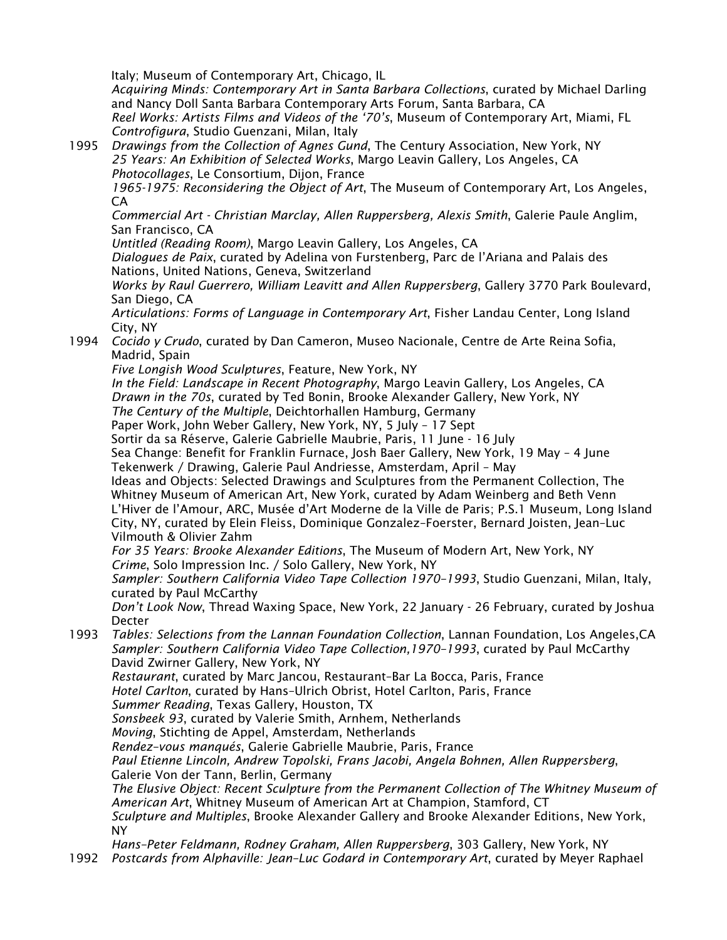Italy; Museum of Contemporary Art, Chicago, IL

*Acquiring Minds: Contemporary Art in Santa Barbara Collections*, curated by Michael Darling and Nancy Doll Santa Barbara Contemporary Arts Forum, Santa Barbara, CA

*Reel Works: Artists Films and Videos of the '70's*, Museum of Contemporary Art, Miami, FL *Controfigura*, Studio Guenzani, Milan, Italy

1995 *Drawings from the Collection of Agnes Gund*, The Century Association, New York, NY *25 Years: An Exhibition of Selected Works*, Margo Leavin Gallery, Los Angeles, CA *Photocollages*, Le Consortium, Dijon, France

*1965-1975: Reconsidering the Object of Art*, The Museum of Contemporary Art, Los Angeles, CA

*Commercial Art - Christian Marclay, Allen Ruppersberg, Alexis Smith*, Galerie Paule Anglim, San Francisco, CA

*Untitled (Reading Room)*, Margo Leavin Gallery, Los Angeles, CA

*Dialogues de Paix*, curated by Adelina von Furstenberg, Parc de l'Ariana and Palais des Nations, United Nations, Geneva, Switzerland

*Works by Raul Guerrero, William Leavitt and Allen Ruppersberg*, Gallery 3770 Park Boulevard, San Diego, CA

*Articulations: Forms of Language in Contemporary Art*, Fisher Landau Center, Long Island City, NY

1994 *Cocido y Crudo*, curated by Dan Cameron, Museo Nacionale, Centre de Arte Reina Sofia, Madrid, Spain

*Five Longish Wood Sculptures*, Feature, New York, NY

*In the Field: Landscape in Recent Photography*, Margo Leavin Gallery, Los Angeles, CA *Drawn in the 70s*, curated by Ted Bonin, Brooke Alexander Gallery, New York, NY

*The Century of the Multiple*, Deichtorhallen Hamburg, Germany

Paper Work, John Weber Gallery, New York, NY, 5 July – 17 Sept

Sortir da sa Réserve, Galerie Gabrielle Maubrie, Paris, 11 June - 16 July

Sea Change: Benefit for Franklin Furnace, Josh Baer Gallery, New York, 19 May – 4 June Tekenwerk / Drawing, Galerie Paul Andriesse, Amsterdam, April – May

Ideas and Objects: Selected Drawings and Sculptures from the Permanent Collection, The Whitney Museum of American Art, New York, curated by Adam Weinberg and Beth Venn L'Hiver de l'Amour, ARC, Musée d'Art Moderne de la Ville de Paris; P.S.1 Museum, Long Island City, NY, curated by Elein Fleiss, Dominique Gonzalez–Foerster, Bernard Joisten, Jean–Luc Vilmouth & Olivier Zahm

*For 35 Years: Brooke Alexander Editions*, The Museum of Modern Art, New York, NY *Crime*, Solo Impression Inc. / Solo Gallery, New York, NY

*Sampler: Southern California Video Tape Collection 1970–1993*, Studio Guenzani, Milan, Italy, curated by Paul McCarthy

*Don't Look Now*, Thread Waxing Space, New York, 22 January - 26 February, curated by Joshua Decter

1993 *Tables: Selections from the Lannan Foundation Collection*, Lannan Foundation, Los Angeles,CA *Sampler: Southern California Video Tape Collection,1970–1993*, curated by Paul McCarthy David Zwirner Gallery, New York, NY

*Restaurant*, curated by Marc Jancou, Restaurant–Bar La Bocca, Paris, France *Hotel Carlton*, curated by Hans–Ulrich Obrist, Hotel Carlton, Paris, France

*Summer Reading*, Texas Gallery, Houston, TX

*Sonsbeek 93*, curated by Valerie Smith, Arnhem, Netherlands

*Moving*, Stichting de Appel, Amsterdam, Netherlands

*Rendez–vous manqués*, Galerie Gabrielle Maubrie, Paris, France

*Paul Etienne Lincoln, Andrew Topolski, Frans Jacobi, Angela Bohnen, Allen Ruppersberg*, Galerie Von der Tann, Berlin, Germany

*The Elusive Object: Recent Sculpture from the Permanent Collection of The Whitney Museum of American Art*, Whitney Museum of American Art at Champion, Stamford, CT *Sculpture and Multiples*, Brooke Alexander Gallery and Brooke Alexander Editions, New York, NY

*Hans–Peter Feldmann, Rodney Graham, Allen Ruppersberg*, 303 Gallery, New York, NY 1992 *Postcards from Alphaville: Jean–Luc Godard in Contemporary Art*, curated by Meyer Raphael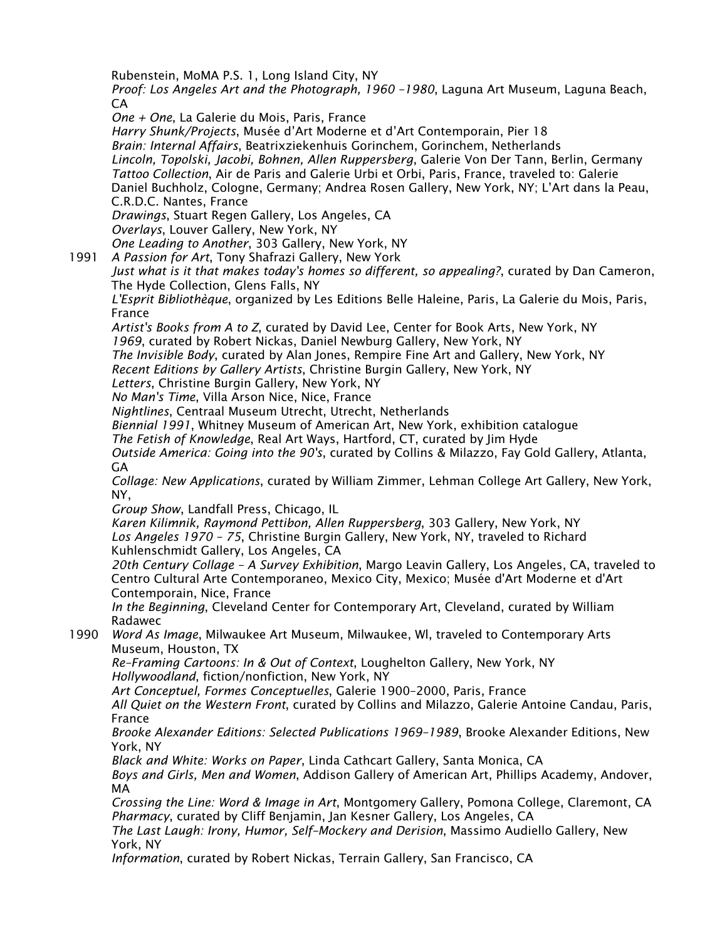Rubenstein, MoMA P.S. 1, Long Island City, NY

*Proof: Los Angeles Art and the Photograph, 1960 –1980*, Laguna Art Museum, Laguna Beach, CA

*One + One*, La Galerie du Mois, Paris, France

*Harry Shunk/Projects*, Musée d'Art Moderne et d'Art Contemporain, Pier 18 *Brain: Internal Affairs*, Beatrixziekenhuis Gorinchem, Gorinchem, Netherlands *Lincoln, Topolski, Jacobi, Bohnen, Allen Ruppersberg*, Galerie Von Der Tann, Berlin, Germany *Tattoo Collection*, Air de Paris and Galerie Urbi et Orbi, Paris, France, traveled to: Galerie Daniel Buchholz, Cologne, Germany; Andrea Rosen Gallery, New York, NY; L'Art dans la Peau, C.R.D.C. Nantes, France *Drawings*, Stuart Regen Gallery, Los Angeles, CA

*Overlays*, Louver Gallery, New York, NY

*One Leading to Another*, 303 Gallery, New York, NY

1991 *A Passion for Art*, Tony Shafrazi Gallery, New York

*Just what is it that makes today's homes so different, so appealing?*, curated by Dan Cameron, The Hyde Collection, Glens Falls, NY

*L'Esprit Bibliothèque*, organized by Les Editions Belle Haleine, Paris, La Galerie du Mois, Paris, France

*Artist's Books from A to Z*, curated by David Lee, Center for Book Arts, New York, NY *1969*, curated by Robert Nickas, Daniel Newburg Gallery, New York, NY

*The Invisible Body*, curated by Alan Jones, Rempire Fine Art and Gallery, New York, NY

*Recent Editions by Gallery Artists*, Christine Burgin Gallery, New York, NY

*Letters*, Christine Burgin Gallery, New York, NY

*No Man's Time*, Villa Arson Nice, Nice, France

*Nightlines*, Centraal Museum Utrecht, Utrecht, Netherlands

*Biennial 1991*, Whitney Museum of American Art, New York, exhibition catalogue

*The Fetish of Knowledge*, Real Art Ways, Hartford, CT, curated by Jim Hyde

*Outside America: Going into the 90's*, curated by Collins & Milazzo, Fay Gold Gallery, Atlanta, GA

*Collage: New Applications*, curated by William Zimmer, Lehman College Art Gallery, New York, NY,

*Group Show*, Landfall Press, Chicago, IL

*Karen Kilimnik, Raymond Pettibon, Allen Ruppersberg*, 303 Gallery, New York, NY *Los Angeles 1970 – 75*, Christine Burgin Gallery, New York, NY, traveled to Richard Kuhlenschmidt Gallery, Los Angeles, CA

*20th Century Collage – A Survey Exhibition*, Margo Leavin Gallery, Los Angeles, CA, traveled to Centro Cultural Arte Contemporaneo, Mexico City, Mexico; Musée d'Art Moderne et d'Art Contemporain, Nice, France

*In the Beginning*, Cleveland Center for Contemporary Art, Cleveland, curated by William Radawec

1990 *Word As Image*, Milwaukee Art Museum, Milwaukee, Wl, traveled to Contemporary Arts Museum, Houston, TX

*Re–Framing Cartoons: In & Out of Context*, Loughelton Gallery, New York, NY *Hollywoodland*, fiction/nonfiction, New York, NY

*Art Conceptuel, Formes Conceptuelles*, Galerie 1900–2000, Paris, France

*All Quiet on the Western Front*, curated by Collins and Milazzo, Galerie Antoine Candau, Paris, France

*Brooke Alexander Editions: Selected Publications 1969–1989*, Brooke Alexander Editions, New York, NY

*Black and White: Works on Paper*, Linda Cathcart Gallery, Santa Monica, CA *Boys and Girls, Men and Women*, Addison Gallery of American Art, Phillips Academy, Andover, MA

*Crossing the Line: Word & Image in Art*, Montgomery Gallery, Pomona College, Claremont, CA *Pharmacy*, curated by Cliff Benjamin, Jan Kesner Gallery, Los Angeles, CA

*The Last Laugh: Irony, Humor, Self–Mockery and Derision*, Massimo Audiello Gallery, New York, NY

*Information*, curated by Robert Nickas, Terrain Gallery, San Francisco, CA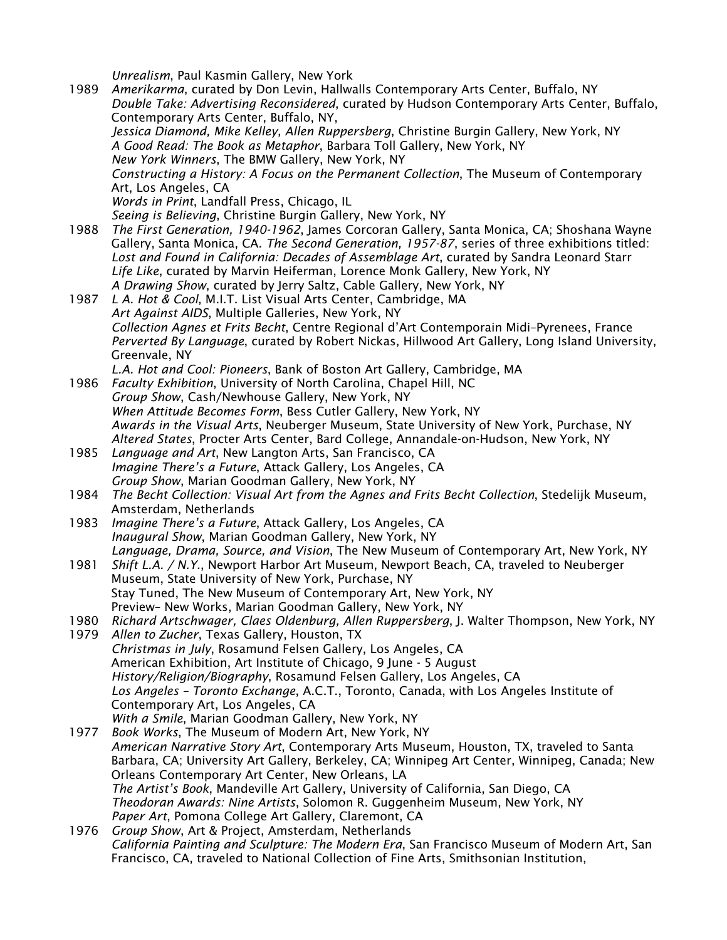*Unrealism*, Paul Kasmin Gallery, New York

1989 *Amerikarma*, curated by Don Levin, Hallwalls Contemporary Arts Center, Buffalo, NY *Double Take: Advertising Reconsidered*, curated by Hudson Contemporary Arts Center, Buffalo, Contemporary Arts Center, Buffalo, NY, *Jessica Diamond, Mike Kelley, Allen Ruppersberg*, Christine Burgin Gallery, New York, NY *A Good Read: The Book as Metaphor*, Barbara Toll Gallery, New York, NY *New York Winners*, The BMW Gallery, New York, NY *Constructing a History: A Focus on the Permanent Collection*, The Museum of Contemporary Art, Los Angeles, CA *Words in Print*, Landfall Press, Chicago, IL *Seeing is Believing*, Christine Burgin Gallery, New York, NY 1988 *The First Generation, 1940-1962*, James Corcoran Gallery, Santa Monica, CA; Shoshana Wayne Gallery, Santa Monica, CA. *The Second Generation, 1957-87*, series of three exhibitions titled: *Lost and Found in California: Decades of Assemblage Art*, curated by Sandra Leonard Starr *Life Like*, curated by Marvin Heiferman, Lorence Monk Gallery, New York, NY *A Drawing Show*, curated by Jerry Saltz, Cable Gallery, New York, NY 1987 *L A. Hot & Cool*, M.I.T. List Visual Arts Center, Cambridge, MA *Art Against AIDS*, Multiple Galleries, New York, NY *Collection Agnes et Frits Becht*, Centre Regional d'Art Contemporain Midi–Pyrenees, France *Perverted By Language*, curated by Robert Nickas, Hillwood Art Gallery, Long Island University, Greenvale, NY *L.A. Hot and Cool: Pioneers*, Bank of Boston Art Gallery, Cambridge, MA 1986 *Faculty Exhibition*, University of North Carolina, Chapel Hill, NC *Group Show*, Cash/Newhouse Gallery, New York, NY *When Attitude Becomes Form*, Bess Cutler Gallery, New York, NY *Awards in the Visual Arts*, Neuberger Museum, State University of New York, Purchase, NY *Altered States*, Procter Arts Center, Bard College, Annandale-on-Hudson, New York, NY 1985 *Language and Art*, New Langton Arts, San Francisco, CA *Imagine There's a Future*, Attack Gallery, Los Angeles, CA *Group Show*, Marian Goodman Gallery, New York, NY 1984 *The Becht Collection: Visual Art from the Agnes and Frits Becht Collection*, Stedelijk Museum, Amsterdam, Netherlands 1983 *Imagine There's a Future*, Attack Gallery, Los Angeles, CA *Inaugural Show*, Marian Goodman Gallery, New York, NY *Language, Drama, Source, and Vision*, The New Museum of Contemporary Art, New York, NY 1981 *Shift L.A. / N.Y.*, Newport Harbor Art Museum, Newport Beach, CA, traveled to Neuberger Museum, State University of New York, Purchase, NY Stay Tuned, The New Museum of Contemporary Art, New York, NY Preview– New Works, Marian Goodman Gallery, New York, NY 1980 *Richard Artschwager, Claes Oldenburg, Allen Ruppersberg*, J. Walter Thompson, New York, NY 1979 *Allen to Zucher*, Texas Gallery, Houston, TX *Christmas in July*, Rosamund Felsen Gallery, Los Angeles, CA American Exhibition, Art Institute of Chicago, 9 June - 5 August *History/Religion/Biography*, Rosamund Felsen Gallery, Los Angeles, CA *Los Angeles – Toronto Exchange*, A.C.T., Toronto, Canada, with Los Angeles Institute of Contemporary Art, Los Angeles, CA *With a Smile*, Marian Goodman Gallery, New York, NY 1977 *Book Works*, The Museum of Modern Art, New York, NY *American Narrative Story Art*, Contemporary Arts Museum, Houston, TX, traveled to Santa Barbara, CA; University Art Gallery, Berkeley, CA; Winnipeg Art Center, Winnipeg, Canada; New Orleans Contemporary Art Center, New Orleans, LA *The Artist's Book*, Mandeville Art Gallery, University of California, San Diego, CA *Theodoran Awards: Nine Artists*, Solomon R. Guggenheim Museum, New York, NY *Paper Art*, Pomona College Art Gallery, Claremont, CA 1976 *Group Show*, Art & Project, Amsterdam, Netherlands *California Painting and Sculpture: The Modern Era*, San Francisco Museum of Modern Art, San Francisco, CA, traveled to National Collection of Fine Arts, Smithsonian Institution,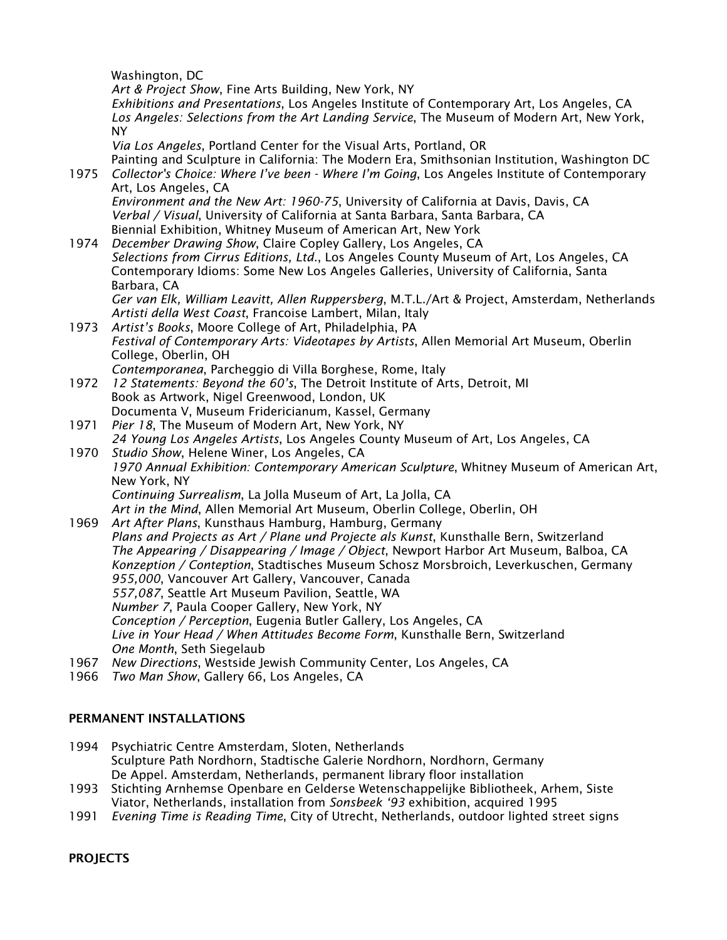Washington, DC

*Art & Project Show*, Fine Arts Building, New York, NY *Exhibitions and Presentations*, Los Angeles Institute of Contemporary Art, Los Angeles, CA *Los Angeles: Selections from the Art Landing Service*, The Museum of Modern Art, New York, NY

*Via Los Angeles*, Portland Center for the Visual Arts, Portland, OR

Painting and Sculpture in California: The Modern Era, Smithsonian Institution, Washington DC 1975 *Collector's Choice: Where I've been - Where I'm Going*, Los Angeles Institute of Contemporary Art, Los Angeles, CA

*Environment and the New Art: 1960-75*, University of California at Davis, Davis, CA *Verbal / Visual*, University of California at Santa Barbara, Santa Barbara, CA Biennial Exhibition, Whitney Museum of American Art, New York

1974 *December Drawing Show*, Claire Copley Gallery, Los Angeles, CA *Selections from Cirrus Editions, Ltd.*, Los Angeles County Museum of Art, Los Angeles, CA Contemporary Idioms: Some New Los Angeles Galleries, University of California, Santa Barbara, CA

*Ger van Elk, William Leavitt, Allen Ruppersberg*, M.T.L./Art & Project, Amsterdam, Netherlands *Artisti della West Coast*, Francoise Lambert, Milan, Italy

- 1973 *Artist's Books*, Moore College of Art, Philadelphia, PA *Festival of Contemporary Arts: Videotapes by Artists*, Allen Memorial Art Museum, Oberlin College, Oberlin, OH *Contemporanea*, Parcheggio di Villa Borghese, Rome, Italy
- 1972 *12 Statements: Beyond the 60's*, The Detroit Institute of Arts, Detroit, MI Book as Artwork, Nigel Greenwood, London, UK Documenta V, Museum Fridericianum, Kassel, Germany
- 1971 *Pier 18*, The Museum of Modern Art, New York, NY *24 Young Los Angeles Artists*, Los Angeles County Museum of Art, Los Angeles, CA
- 1970 *Studio Show*, Helene Winer, Los Angeles, CA *1970 Annual Exhibition: Contemporary American Sculpture*, Whitney Museum of American Art, New York, NY *Continuing Surrealism*, La Jolla Museum of Art, La Jolla, CA *Art in the Mind*, Allen Memorial Art Museum, Oberlin College, Oberlin, OH
- 1969 *Art After Plans*, Kunsthaus Hamburg, Hamburg, Germany *Plans and Projects as Art / Plane und Projecte als Kunst*, Kunsthalle Bern, Switzerland *The Appearing / Disappearing / Image / Object*, Newport Harbor Art Museum, Balboa, CA *Konzeption / Conteption*, Stadtisches Museum Schosz Morsbroich, Leverkuschen, Germany *955,000*, Vancouver Art Gallery, Vancouver, Canada *557,087*, Seattle Art Museum Pavilion, Seattle, WA *Number 7*, Paula Cooper Gallery, New York, NY *Conception / Perception*, Eugenia Butler Gallery, Los Angeles, CA *Live in Your Head / When Attitudes Become Form*, Kunsthalle Bern, Switzerland *One Month*, Seth Siegelaub 1967 *New Directions*, Westside Jewish Community Center, Los Angeles, CA
- 
- 1966 *Two Man Show*, Gallery 66, Los Angeles, CA

## PERMANENT INSTALLATIONS

- 1994 Psychiatric Centre Amsterdam, Sloten, Netherlands Sculpture Path Nordhorn, Stadtische Galerie Nordhorn, Nordhorn, Germany De Appel. Amsterdam, Netherlands, permanent library floor installation
- 1993 Stichting Arnhemse Openbare en Gelderse Wetenschappelijke Bibliotheek, Arhem, Siste Viator, Netherlands, installation from *Sonsbeek '93* exhibition, acquired 1995
- 1991 *Evening Time is Reading Time*, City of Utrecht, Netherlands, outdoor lighted street signs

**PROJECTS**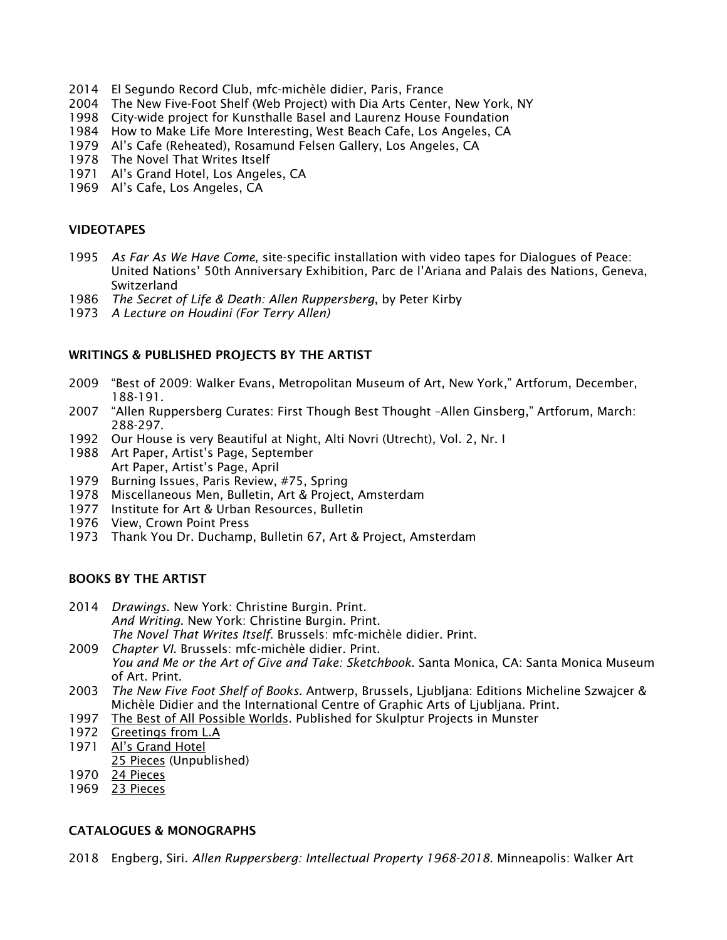- 2014 El Segundo Record Club, mfc-michèle didier, Paris, France
- 2004 The New Five-Foot Shelf (Web Project) with Dia Arts Center, New York, NY
- 1998 City-wide project for Kunsthalle Basel and Laurenz House Foundation
- 1984 How to Make Life More Interesting, West Beach Cafe, Los Angeles, CA
- 1979 Al's Cafe (Reheated), Rosamund Felsen Gallery, Los Angeles, CA
- 1978 The Novel That Writes Itself
- 1971 Al's Grand Hotel, Los Angeles, CA
- 1969 Al's Cafe, Los Angeles, CA

#### VIDEOTAPES

- 1995 *As Far As We Have Come*, site-specific installation with video tapes for Dialogues of Peace: United Nations' 50th Anniversary Exhibition, Parc de l'Ariana and Palais des Nations, Geneva, Switzerland
- 1986 *The Secret of Life & Death: Allen Ruppersberg*, by Peter Kirby
- 1973 *A Lecture on Houdini (For Terry Allen)*

#### WRITINGS & PUBLISHED PROJECTS BY THE ARTIST

- 2009 "Best of 2009: Walker Evans, Metropolitan Museum of Art, New York," Artforum, December, 188-191.
- 2007 "Allen Ruppersberg Curates: First Though Best Thought –Allen Ginsberg," Artforum, March: 288-297.
- 1992 Our House is very Beautiful at Night, Alti Novri (Utrecht), Vol. 2, Nr. I
- 1988 Art Paper, Artist's Page, September Art Paper, Artist's Page, April
- 1979 Burning Issues, Paris Review, #75, Spring
- 1978 Miscellaneous Men, Bulletin, Art & Project, Amsterdam
- 1977 Institute for Art & Urban Resources, Bulletin
- 1976 View, Crown Point Press
- 1973 Thank You Dr. Duchamp, Bulletin 67, Art & Project, Amsterdam

#### BOOKS BY THE ARTIST

- 2014 *Drawings*. New York: Christine Burgin. Print. *And Writing*. New York: Christine Burgin. Print. *The Novel That Writes Itself*. Brussels: mfc-michèle didier. Print.
- 2009 *Chapter VI*. Brussels: mfc-michèle didier. Print. *You and Me or the Art of Give and Take: Sketchbook*. Santa Monica, CA: Santa Monica Museum of Art. Print.
- 2003 *The New Five Foot Shelf of Books*. Antwerp, Brussels, Ljubljana: Editions Micheline Szwajcer & Michèle Didier and the International Centre of Graphic Arts of Ljubljana. Print.
- 1997 The Best of All Possible Worlds. Published for Skulptur Projects in Munster
- 1972 Greetings from L.A
- 1971 Al's Grand Hotel
- 25 Pieces (Unpublished)
- 1970 24 Pieces
- 1969 23 Pieces

#### CATALOGUES & MONOGRAPHS

2018 Engberg, Siri. *Allen Ruppersberg: Intellectual Property 1968-2018*. Minneapolis: Walker Art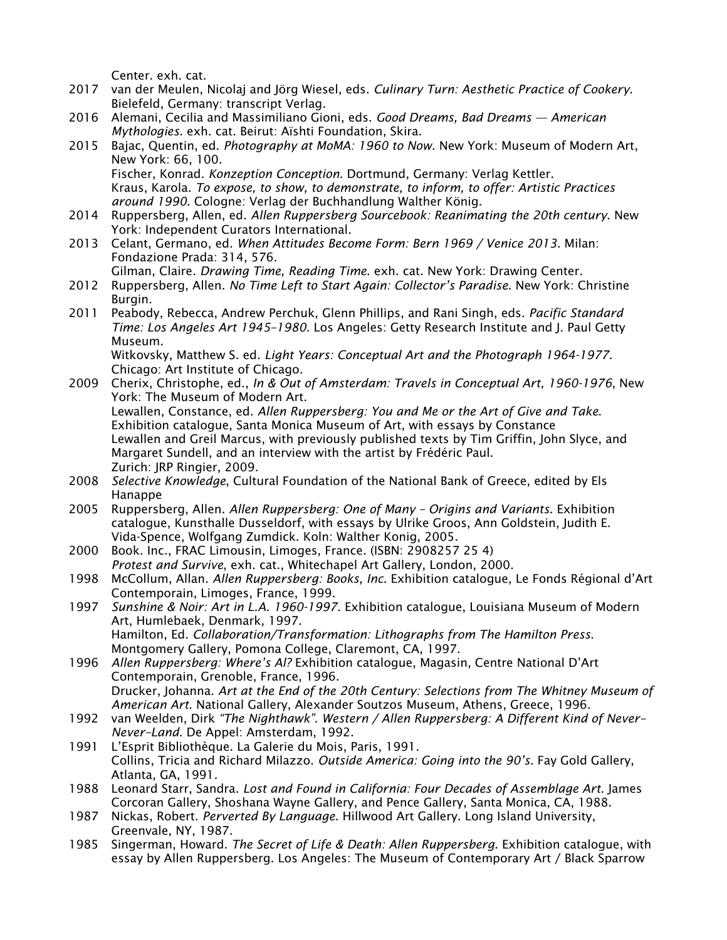Center. exh. cat.

- 2017 van der Meulen, Nicolaj and Jörg Wiesel, eds. *Culinary Turn: Aesthetic Practice of Cookery*. Bielefeld, Germany: transcript Verlag.
- 2016 Alemani, Cecilia and Massimiliano Gioni, eds. *Good Dreams, Bad Dreams — American Mythologies*. exh. cat. Beirut: Aïshti Foundation, Skira.
- 2015 Bajac, Quentin, ed. *Photography at MoMA: 1960 to Now*. New York: Museum of Modern Art, New York: 66, 100.

Fischer, Konrad. *Konzeption Conception*. Dortmund, Germany: Verlag Kettler. Kraus, Karola. *To expose, to show, to demonstrate, to inform, to offer: Artistic Practices around 1990*. Cologne: Verlag der Buchhandlung Walther König.

- 2014 Ruppersberg, Allen, ed. *Allen Ruppersberg Sourcebook: Reanimating the 20th century*. New York: Independent Curators International.
- 2013 Celant, Germano, ed. *When Attitudes Become Form: Bern 1969 / Venice 2013*. Milan: Fondazione Prada: 314, 576.

Gilman, Claire. *Drawing Time, Reading Time*. exh. cat. New York: Drawing Center.

- 2012 Ruppersberg, Allen. *No Time Left to Start Again: Collector's Paradise*. New York: Christine Burgin.
- 2011 Peabody, Rebecca, Andrew Perchuk, Glenn Phillips, and Rani Singh, eds. *Pacific Standard Time: Los Angeles Art 1945–1980*. Los Angeles: Getty Research Institute and J. Paul Getty Museum.

Witkovsky, Matthew S. ed. *Light Years: Conceptual Art and the Photograph 1964-1977*. Chicago: Art Institute of Chicago.

- 2009 Cherix, Christophe, ed., *In & Out of Amsterdam: Travels in Conceptual Art, 1960-1976*, New York: The Museum of Modern Art. Lewallen, Constance, ed. *Allen Ruppersberg: You and Me or the Art of Give and Take*. Exhibition catalogue, Santa Monica Museum of Art, with essays by Constance Lewallen and Greil Marcus, with previously published texts by Tim Griffin, John Slyce, and Margaret Sundell, and an interview with the artist by Frédéric Paul. Zurich: JRP Ringier, 2009.
- 2008 *Selective Knowledge*, Cultural Foundation of the National Bank of Greece, edited by Els Hanappe
- 2005 Ruppersberg, Allen. *Allen Ruppersberg: One of Many – Origins and Variants*. Exhibition catalogue, Kunsthalle Dusseldorf, with essays by Ulrike Groos, Ann Goldstein, Judith E. Vida-Spence, Wolfgang Zumdick. Koln: Walther Konig, 2005.
- 2000 Book. Inc., FRAC Limousin, Limoges, France. (ISBN: 2908257 25 4) *Protest and Survive*, exh. cat., Whitechapel Art Gallery, London, 2000.
- 1998 McCollum, Allan. *Allen Ruppersberg: Books, Inc*. Exhibition catalogue, Le Fonds Régional d'Art Contemporain, Limoges, France, 1999.
- 1997 *Sunshine & Noir: Art in L.A. 1960-1997*. Exhibition catalogue, Louisiana Museum of Modern Art, Humlebaek, Denmark, 1997. Hamilton, Ed. *Collaboration/Transformation: Lithographs from The Hamilton Press*. Montgomery Gallery, Pomona College, Claremont, CA, 1997.
- 1996 *Allen Ruppersberg: Where's Al?* Exhibition catalogue, Magasin, Centre National D'Art Contemporain, Grenoble, France, 1996. Drucker, Johanna. *Art at the End of the 20th Century: Selections from The Whitney Museum of American Art*. National Gallery, Alexander Soutzos Museum, Athens, Greece, 1996.
- 1992 van Weelden, Dirk *"The Nighthawk". Western / Allen Ruppersberg: A Different Kind of Never– Never–Land*. De Appel: Amsterdam, 1992.
- 1991 L'Esprit Bibliothèque. La Galerie du Mois, Paris, 1991. Collins, Tricia and Richard Milazzo. *Outside America: Going into the 90's*. Fay Gold Gallery, Atlanta, GA, 1991.
- 1988 Leonard Starr, Sandra. *Lost and Found in California: Four Decades of Assemblage Art*. James Corcoran Gallery, Shoshana Wayne Gallery, and Pence Gallery, Santa Monica, CA, 1988.
- 1987 Nickas, Robert. *Perverted By Language*. Hillwood Art Gallery. Long Island University, Greenvale, NY, 1987.
- 1985 Singerman, Howard. *The Secret of Life & Death: Allen Ruppersberg*. Exhibition catalogue, with essay by Allen Ruppersberg. Los Angeles: The Museum of Contemporary Art / Black Sparrow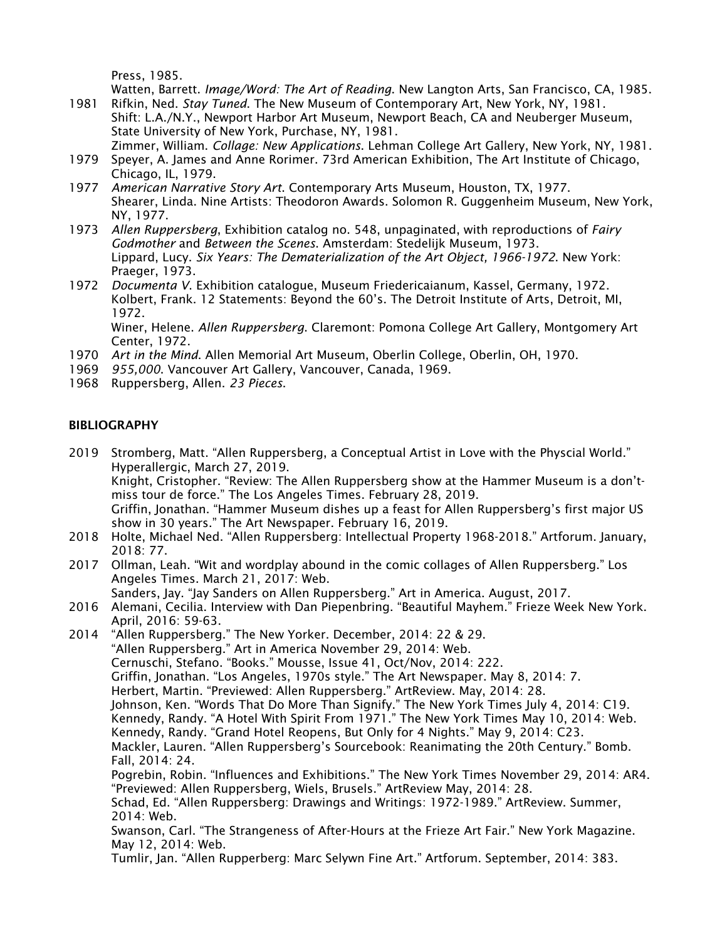Press, 1985.

Watten, Barrett. *Image/Word: The Art of Reading*. New Langton Arts, San Francisco, CA, 1985.

- 1981 Rifkin, Ned. *Stay Tuned*. The New Museum of Contemporary Art, New York, NY, 1981. Shift: L.A./N.Y., Newport Harbor Art Museum, Newport Beach, CA and Neuberger Museum, State University of New York, Purchase, NY, 1981.
	- Zimmer, William. *Collage: New Applications*. Lehman College Art Gallery, New York, NY, 1981.
- 1979 Speyer, A. James and Anne Rorimer. 73rd American Exhibition, The Art Institute of Chicago, Chicago, IL, 1979.
- 1977 *American Narrative Story Art*. Contemporary Arts Museum, Houston, TX, 1977. Shearer, Linda. Nine Artists: Theodoron Awards. Solomon R. Guggenheim Museum, New York, NY, 1977.
- 1973 *Allen Ruppersberg*, Exhibition catalog no. 548, unpaginated, with reproductions of *Fairy Godmother* and *Between the Scenes*. Amsterdam: Stedelijk Museum, 1973. Lippard, Lucy. *Six Years: The Dematerialization of the Art Object, 1966-1972*. New York: Praeger, 1973.
- 1972 *Documenta V*. Exhibition catalogue, Museum Friedericaianum, Kassel, Germany, 1972. Kolbert, Frank. 12 Statements: Beyond the 60's. The Detroit Institute of Arts, Detroit, MI, 1972.

Winer, Helene. *Allen Ruppersberg*. Claremont: Pomona College Art Gallery, Montgomery Art Center, 1972.

- 1970 *Art in the Mind*. Allen Memorial Art Museum, Oberlin College, Oberlin, OH, 1970.
- 1969 *955,000*. Vancouver Art Gallery, Vancouver, Canada, 1969.
- 1968 Ruppersberg, Allen. *23 Pieces*.

## BIBLIOGRAPHY

- 2019 Stromberg, Matt. "Allen Ruppersberg, a Conceptual Artist in Love with the Physcial World." Hyperallergic, March 27, 2019. Knight, Cristopher. "Review: The Allen Ruppersberg show at the Hammer Museum is a don'tmiss tour de force." The Los Angeles Times. February 28, 2019. Griffin, Jonathan. "Hammer Museum dishes up a feast for Allen Ruppersberg's first major US show in 30 years." The Art Newspaper. February 16, 2019.
- 2018 Holte, Michael Ned. "Allen Ruppersberg: Intellectual Property 1968-2018." Artforum. January, 2018: 77.
- 2017 Ollman, Leah. "Wit and wordplay abound in the comic collages of Allen Ruppersberg." Los Angeles Times. March 21, 2017: Web.
	- Sanders, Jay. "Jay Sanders on Allen Ruppersberg." Art in America. August, 2017.
- 2016 Alemani, Cecilia. Interview with Dan Piepenbring. "Beautiful Mayhem." Frieze Week New York. April, 2016: 59-63.
- 2014 "Allen Ruppersberg." The New Yorker. December, 2014: 22 & 29. "Allen Ruppersberg." Art in America November 29, 2014: Web. Cernuschi, Stefano. "Books." Mousse, Issue 41, Oct/Nov, 2014: 222. Griffin, Jonathan. "Los Angeles, 1970s style." The Art Newspaper. May 8, 2014: 7. Herbert, Martin. "Previewed: Allen Ruppersberg." ArtReview. May, 2014: 28. Johnson, Ken. "Words That Do More Than Signify." The New York Times July 4, 2014: C19. Kennedy, Randy. "A Hotel With Spirit From 1971." The New York Times May 10, 2014: Web. Kennedy, Randy. "Grand Hotel Reopens, But Only for 4 Nights." May 9, 2014: C23. Mackler, Lauren. "Allen Ruppersberg's Sourcebook: Reanimating the 20th Century." Bomb. Fall, 2014: 24. Pogrebin, Robin. "Influences and Exhibitions." The New York Times November 29, 2014: AR4. "Previewed: Allen Ruppersberg, Wiels, Brusels." ArtReview May, 2014: 28. Schad, Ed. "Allen Ruppersberg: Drawings and Writings: 1972-1989." ArtReview. Summer, 2014: Web. Swanson, Carl. "The Strangeness of After-Hours at the Frieze Art Fair." New York Magazine. May 12, 2014: Web.
	- Tumlir, Jan. "Allen Rupperberg: Marc Selywn Fine Art." Artforum. September, 2014: 383.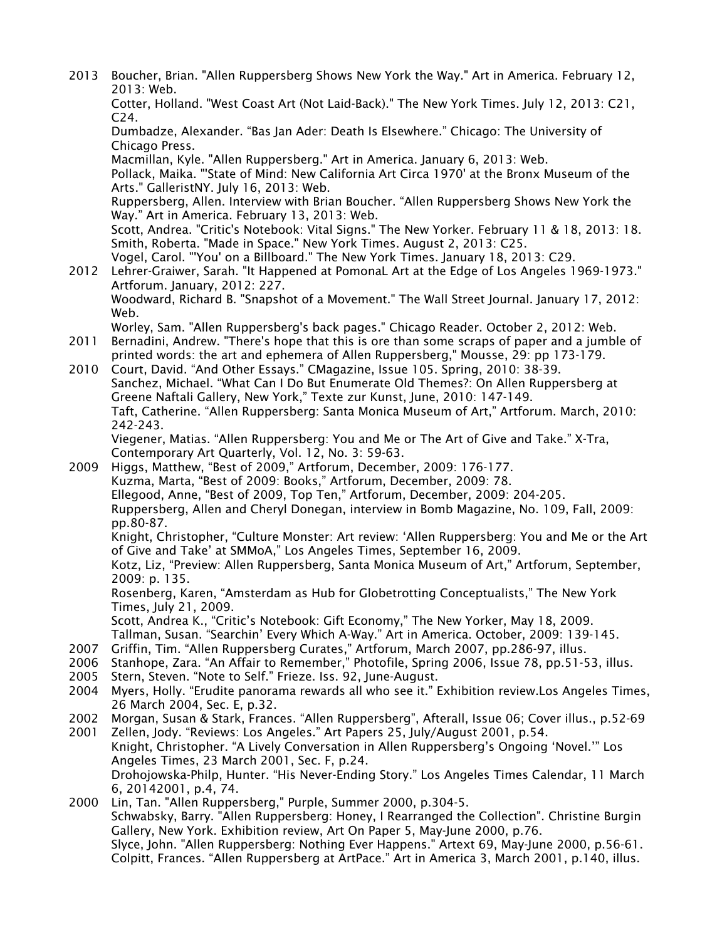2013 Boucher, Brian. "Allen Ruppersberg Shows New York the Way." Art in America. February 12, 2013: Web. Cotter, Holland. "West Coast Art (Not Laid-Back)." The New York Times. July 12, 2013: C21, C24. Dumbadze, Alexander. "Bas Jan Ader: Death Is Elsewhere." Chicago: The University of Chicago Press. Macmillan, Kyle. "Allen Ruppersberg." Art in America. January 6, 2013: Web. Pollack, Maika. "'State of Mind: New California Art Circa 1970' at the Bronx Museum of the Arts." GalleristNY. July 16, 2013: Web. Ruppersberg, Allen. Interview with Brian Boucher. "Allen Ruppersberg Shows New York the Way." Art in America. February 13, 2013: Web. Scott, Andrea. "Critic's Notebook: Vital Signs." The New Yorker. February 11 & 18, 2013: 18. Smith, Roberta. "Made in Space." New York Times. August 2, 2013: C25. Vogel, Carol. "'You' on a Billboard." The New York Times. January 18, 2013: C29. 2012 Lehrer-Graiwer, Sarah. "It Happened at PomonaL Art at the Edge of Los Angeles 1969-1973." Artforum. January, 2012: 227. Woodward, Richard B. "Snapshot of a Movement." The Wall Street Journal. January 17, 2012: Web. Worley, Sam. "Allen Ruppersberg's back pages." Chicago Reader. October 2, 2012: Web. 2011 Bernadini, Andrew. "There's hope that this is ore than some scraps of paper and a jumble of printed words: the art and ephemera of Allen Ruppersberg," Mousse, 29: pp 173-179. 2010 Court, David. "And Other Essays." CMagazine, Issue 105. Spring, 2010: 38-39. Sanchez, Michael. "What Can I Do But Enumerate Old Themes?: On Allen Ruppersberg at Greene Naftali Gallery, New York," Texte zur Kunst, June, 2010: 147-149. Taft, Catherine. "Allen Ruppersberg: Santa Monica Museum of Art," Artforum. March, 2010: 242-243. Viegener, Matias. "Allen Ruppersberg: You and Me or The Art of Give and Take." X-Tra, Contemporary Art Quarterly, Vol. 12, No. 3: 59-63. 2009 Higgs, Matthew, "Best of 2009," Artforum, December, 2009: 176-177. Kuzma, Marta, "Best of 2009: Books," Artforum, December, 2009: 78. Ellegood, Anne, "Best of 2009, Top Ten," Artforum, December, 2009: 204-205. Ruppersberg, Allen and Cheryl Donegan, interview in Bomb Magazine, No. 109, Fall, 2009: pp.80-87. Knight, Christopher, "Culture Monster: Art review: 'Allen Ruppersberg: You and Me or the Art of Give and Take' at SMMoA," Los Angeles Times, September 16, 2009. Kotz, Liz, "Preview: Allen Ruppersberg, Santa Monica Museum of Art," Artforum, September, 2009: p. 135. Rosenberg, Karen, "Amsterdam as Hub for Globetrotting Conceptualists," The New York Times, July 21, 2009. Scott, Andrea K., "Critic's Notebook: Gift Economy," The New Yorker, May 18, 2009. Tallman, Susan. "Searchin' Every Which A-Way." Art in America. October, 2009: 139-145. 2007 Griffin, Tim. "Allen Ruppersberg Curates," Artforum, March 2007, pp.286-97, illus. 2006 Stanhope, Zara. "An Affair to Remember," Photofile, Spring 2006, Issue 78, pp.51-53, illus. 2005 Stern, Steven. "Note to Self." Frieze. Iss. 92, June-August. 2004 Myers, Holly. "Erudite panorama rewards all who see it." Exhibition review.Los Angeles Times, 26 March 2004, Sec. E, p.32. 2002 Morgan, Susan & Stark, Frances. "Allen Ruppersberg", Afterall, Issue 06; Cover illus., p.52-69 2001 Zellen, Jody. "Reviews: Los Angeles." Art Papers 25, July/August 2001, p.54. Knight, Christopher. "A Lively Conversation in Allen Ruppersberg's Ongoing 'Novel.'" Los Angeles Times, 23 March 2001, Sec. F, p.24. Drohojowska-Philp, Hunter. "His Never-Ending Story." Los Angeles Times Calendar, 11 March 6, 20142001, p.4, 74. 2000 Lin, Tan. "Allen Ruppersberg," Purple, Summer 2000, p.304-5. Schwabsky, Barry. "Allen Ruppersberg: Honey, I Rearranged the Collection". Christine Burgin Gallery, New York. Exhibition review, Art On Paper 5, May-June 2000, p.76. Slyce, John. "Allen Ruppersberg: Nothing Ever Happens." Artext 69, May-June 2000, p.56-61.

Colpitt, Frances. "Allen Ruppersberg at ArtPace." Art in America 3, March 2001, p.140, illus.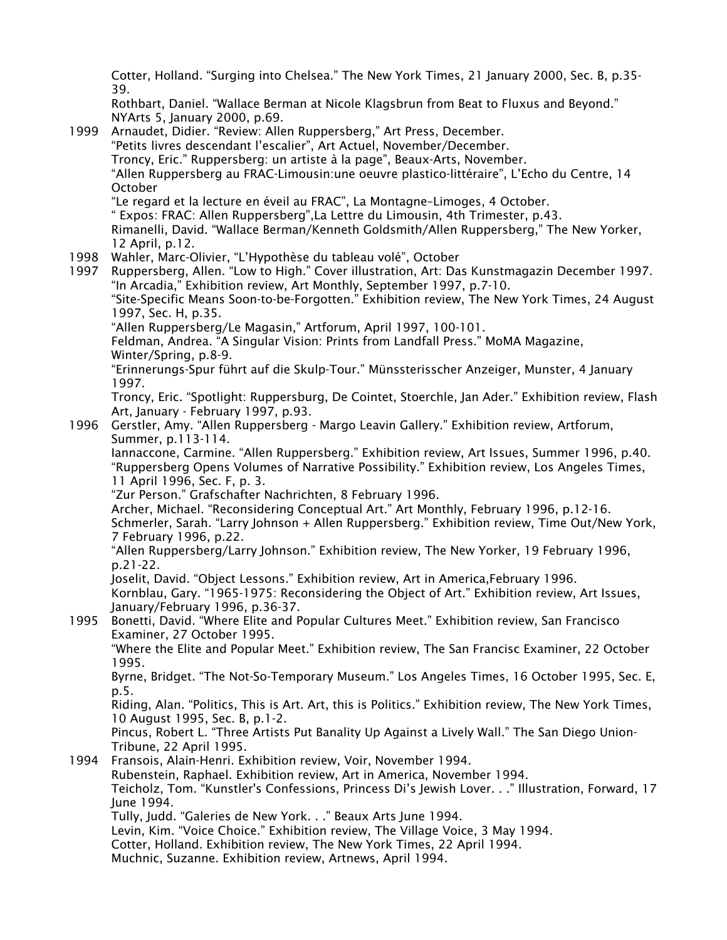Cotter, Holland. "Surging into Chelsea." The New York Times, 21 January 2000, Sec. B, p.35- 39.

Rothbart, Daniel. "Wallace Berman at Nicole Klagsbrun from Beat to Fluxus and Beyond." NYArts 5, January 2000, p.69.

1999 Arnaudet, Didier. "Review: Allen Ruppersberg," Art Press, December. "Petits livres descendant l'escalier", Art Actuel, November/December. Troncy, Eric." Ruppersberg: un artiste à la page", Beaux-Arts, November. "Allen Ruppersberg au FRAC-Limousin:une oeuvre plastico-littéraire", L'Echo du Centre, 14 October "Le regard et la lecture en éveil au FRAC", La Montagne–Limoges, 4 October. " Expos: FRAC: Allen Ruppersberg",La Lettre du Limousin, 4th Trimester, p.43. Rimanelli, David. "Wallace Berman/Kenneth Goldsmith/Allen Ruppersberg," The New Yorker, 12 April, p.12. 1998 Wahler, Marc-Olivier, "L'Hypothèse du tableau volé", October 1997 Ruppersberg, Allen. "Low to High." Cover illustration, Art: Das Kunstmagazin December 1997. "In Arcadia," Exhibition review, Art Monthly, September 1997, p.7-10. "Site-Specific Means Soon-to-be-Forgotten." Exhibition review, The New York Times, 24 August 1997, Sec. H, p.35. "Allen Ruppersberg/Le Magasin," Artforum, April 1997, 100-101. Feldman, Andrea. "A Singular Vision: Prints from Landfall Press." MoMA Magazine, Winter/Spring, p.8-9. "Erinnerungs-Spur führt auf die Skulp-Tour." Münssterisscher Anzeiger, Munster, 4 January 1997. Troncy, Eric. "Spotlight: Ruppersburg, De Cointet, Stoerchle, Jan Ader." Exhibition review, Flash Art, January - February 1997, p.93. 1996 Gerstler, Amy. "Allen Ruppersberg - Margo Leavin Gallery." Exhibition review, Artforum, Summer, p.113-114. Iannaccone, Carmine. "Allen Ruppersberg." Exhibition review, Art Issues, Summer 1996, p.40. "Ruppersberg Opens Volumes of Narrative Possibility." Exhibition review, Los Angeles Times, 11 April 1996, Sec. F, p. 3. "Zur Person." Grafschafter Nachrichten, 8 February 1996. Archer, Michael. "Reconsidering Conceptual Art." Art Monthly, February 1996, p.12-16. Schmerler, Sarah. "Larry Johnson + Allen Ruppersberg." Exhibition review, Time Out/New York, 7 February 1996, p.22. "Allen Ruppersberg/Larry Johnson." Exhibition review, The New Yorker, 19 February 1996, p.21-22. Joselit, David. "Object Lessons." Exhibition review, Art in America,February 1996. Kornblau, Gary. "1965-1975: Reconsidering the Object of Art." Exhibition review, Art Issues, January/February 1996, p.36-37. 1995 Bonetti, David. "Where Elite and Popular Cultures Meet." Exhibition review, San Francisco Examiner, 27 October 1995. "Where the Elite and Popular Meet." Exhibition review, The San Francisc Examiner, 22 October 1995. Byrne, Bridget. "The Not-So-Temporary Museum." Los Angeles Times, 16 October 1995, Sec. E, p.5. Riding, Alan. "Politics, This is Art. Art, this is Politics." Exhibition review, The New York Times, 10 August 1995, Sec. B, p.1-2. Pincus, Robert L. "Three Artists Put Banality Up Against a Lively Wall." The San Diego Union-Tribune, 22 April 1995. 1994 Fransois, Alain-Henri. Exhibition review, Voir, November 1994. Rubenstein, Raphael. Exhibition review, Art in America, November 1994. Teicholz, Tom. "Kunstler's Confessions, Princess Di's Jewish Lover. . ." Illustration, Forward, 17 June 1994. Tully, Judd. "Galeries de New York. . ." Beaux Arts June 1994. Levin, Kim. "Voice Choice." Exhibition review, The Village Voice, 3 May 1994. Cotter, Holland. Exhibition review, The New York Times, 22 April 1994. Muchnic, Suzanne. Exhibition review, Artnews, April 1994.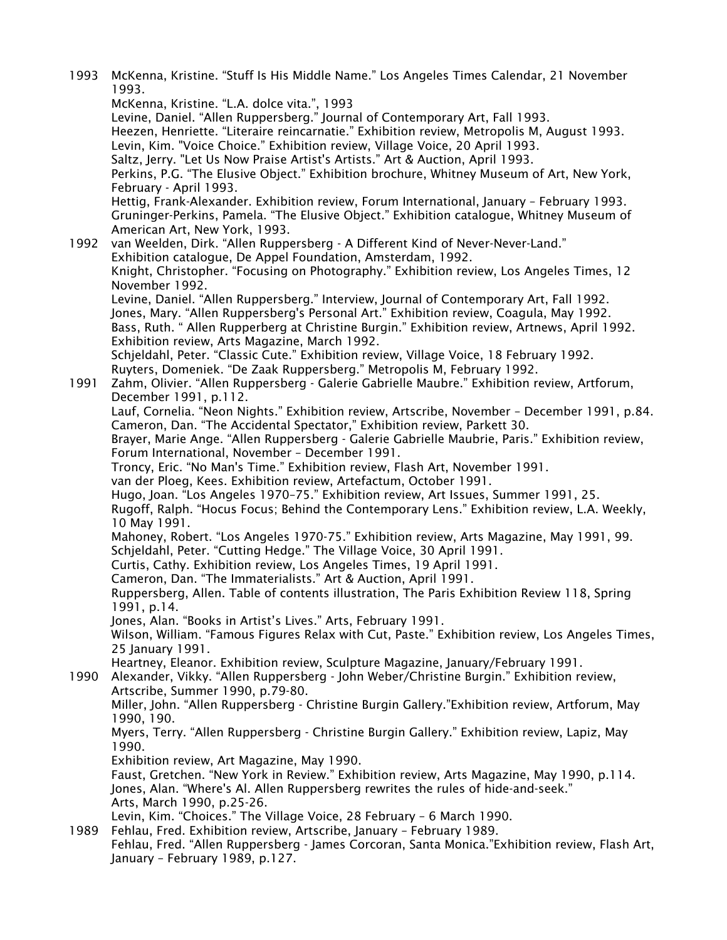1993 McKenna, Kristine. "Stuff Is His Middle Name." Los Angeles Times Calendar, 21 November 1993. McKenna, Kristine. "L.A. dolce vita.", 1993 Levine, Daniel. "Allen Ruppersberg." Journal of Contemporary Art, Fall 1993. Heezen, Henriette. "Literaire reincarnatie." Exhibition review, Metropolis M, August 1993. Levin, Kim. "Voice Choice." Exhibition review, Village Voice, 20 April 1993. Saltz, Jerry. "Let Us Now Praise Artist's Artists." Art & Auction, April 1993. Perkins, P.G. "The Elusive Object." Exhibition brochure, Whitney Museum of Art, New York, February - April 1993. Hettig, Frank-Alexander. Exhibition review, Forum International, January – February 1993. Gruninger-Perkins, Pamela. "The Elusive Object." Exhibition catalogue, Whitney Museum of American Art, New York, 1993. 1992 van Weelden, Dirk. "Allen Ruppersberg - A Different Kind of Never-Never-Land." Exhibition catalogue, De Appel Foundation, Amsterdam, 1992. Knight, Christopher. "Focusing on Photography." Exhibition review, Los Angeles Times, 12 November 1992. Levine, Daniel. "Allen Ruppersberg." Interview, Journal of Contemporary Art, Fall 1992. Jones, Mary. "Allen Ruppersberg's Personal Art." Exhibition review, Coagula, May 1992. Bass, Ruth. " Allen Rupperberg at Christine Burgin." Exhibition review, Artnews, April 1992. Exhibition review, Arts Magazine, March 1992. Schjeldahl, Peter. "Classic Cute." Exhibition review, Village Voice, 18 February 1992. Ruyters, Domeniek. "De Zaak Ruppersberg." Metropolis M, February 1992. 1991 Zahm, Olivier. "Allen Ruppersberg - Galerie Gabrielle Maubre." Exhibition review, Artforum, December 1991, p.112. Lauf, Cornelia. "Neon Nights." Exhibition review, Artscribe, November – December 1991, p.84. Cameron, Dan. "The Accidental Spectator," Exhibition review, Parkett 30. Brayer, Marie Ange. "Allen Ruppersberg - Galerie Gabrielle Maubrie, Paris." Exhibition review, Forum International, November – December 1991. Troncy, Eric. "No Man's Time." Exhibition review, Flash Art, November 1991. van der Ploeg, Kees. Exhibition review, Artefactum, October 1991. Hugo, Joan. "Los Angeles 1970–75." Exhibition review, Art Issues, Summer 1991, 25. Rugoff, Ralph. "Hocus Focus; Behind the Contemporary Lens." Exhibition review, L.A. Weekly, 10 May 1991. Mahoney, Robert. "Los Angeles 1970-75." Exhibition review, Arts Magazine, May 1991, 99. Schjeldahl, Peter. "Cutting Hedge." The Village Voice, 30 April 1991. Curtis, Cathy. Exhibition review, Los Angeles Times, 19 April 1991. Cameron, Dan. "The Immaterialists." Art & Auction, April 1991. Ruppersberg, Allen. Table of contents illustration, The Paris Exhibition Review 118, Spring 1991, p.14. Jones, Alan. "Books in Artist's Lives." Arts, February 1991. Wilson, William. "Famous Figures Relax with Cut, Paste." Exhibition review, Los Angeles Times, 25 January 1991. Heartney, Eleanor. Exhibition review, Sculpture Magazine, January/February 1991. 1990 Alexander, Vikky. "Allen Ruppersberg - John Weber/Christine Burgin." Exhibition review, Artscribe, Summer 1990, p.79-80. Miller, John. "Allen Ruppersberg - Christine Burgin Gallery."Exhibition review, Artforum, May 1990, 190. Myers, Terry. "Allen Ruppersberg - Christine Burgin Gallery." Exhibition review, Lapiz, May 1990. Exhibition review, Art Magazine, May 1990. Faust, Gretchen. "New York in Review." Exhibition review, Arts Magazine, May 1990, p.114. Jones, Alan. "Where's Al. Allen Ruppersberg rewrites the rules of hide-and-seek." Arts, March 1990, p.25-26. Levin, Kim. "Choices." The Village Voice, 28 February – 6 March 1990. 1989 Fehlau, Fred. Exhibition review, Artscribe, January – February 1989. Fehlau, Fred. "Allen Ruppersberg - James Corcoran, Santa Monica."Exhibition review, Flash Art, January – February 1989, p.127.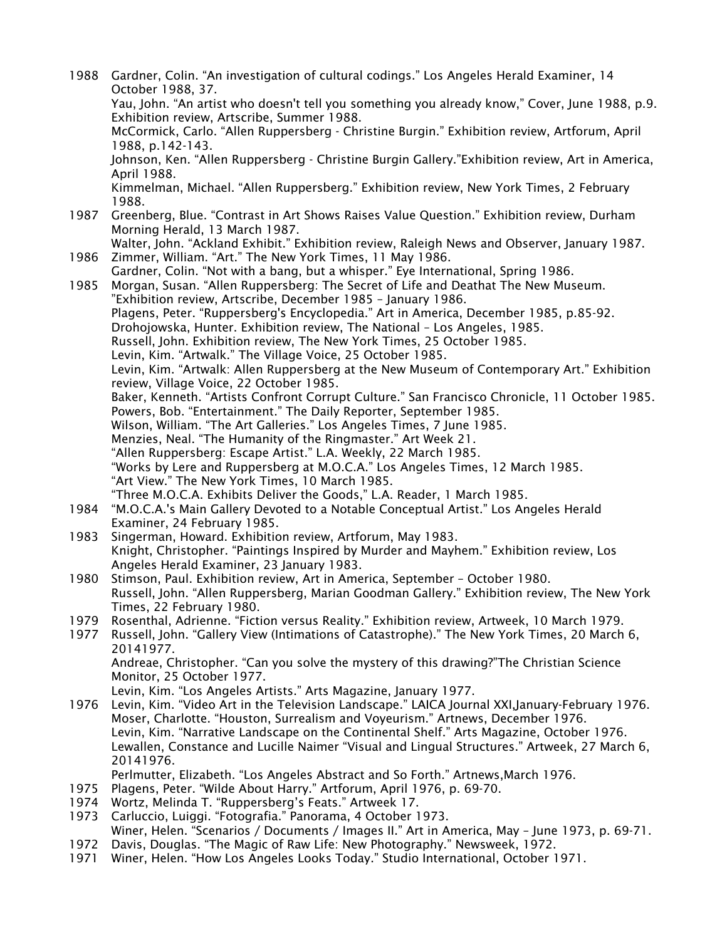1988 Gardner, Colin. "An investigation of cultural codings." Los Angeles Herald Examiner, 14 October 1988, 37. Yau, John. "An artist who doesn't tell you something you already know," Cover, June 1988, p.9. Exhibition review, Artscribe, Summer 1988. McCormick, Carlo. "Allen Ruppersberg - Christine Burgin." Exhibition review, Artforum, April 1988, p.142-143. Johnson, Ken. "Allen Ruppersberg - Christine Burgin Gallery."Exhibition review, Art in America, April 1988. Kimmelman, Michael. "Allen Ruppersberg." Exhibition review, New York Times, 2 February 1988. 1987 Greenberg, Blue. "Contrast in Art Shows Raises Value Question." Exhibition review, Durham Morning Herald, 13 March 1987. Walter, John. "Ackland Exhibit." Exhibition review, Raleigh News and Observer, January 1987. 1986 Zimmer, William. "Art." The New York Times, 11 May 1986. Gardner, Colin. "Not with a bang, but a whisper." Eye International, Spring 1986. 1985 Morgan, Susan. "Allen Ruppersberg: The Secret of Life and Deathat The New Museum. "Exhibition review, Artscribe, December 1985 – January 1986. Plagens, Peter. "Ruppersberg's Encyclopedia." Art in America, December 1985, p.85-92. Drohojowska, Hunter. Exhibition review, The National – Los Angeles, 1985. Russell, John. Exhibition review, The New York Times, 25 October 1985. Levin, Kim. "Artwalk." The Village Voice, 25 October 1985. Levin, Kim. "Artwalk: Allen Ruppersberg at the New Museum of Contemporary Art." Exhibition review, Village Voice, 22 October 1985. Baker, Kenneth. "Artists Confront Corrupt Culture." San Francisco Chronicle, 11 October 1985. Powers, Bob. "Entertainment." The Daily Reporter, September 1985. Wilson, William. "The Art Galleries." Los Angeles Times, 7 June 1985. Menzies, Neal. "The Humanity of the Ringmaster." Art Week 21. "Allen Ruppersberg: Escape Artist." L.A. Weekly, 22 March 1985. "Works by Lere and Ruppersberg at M.O.C.A." Los Angeles Times, 12 March 1985. "Art View." The New York Times, 10 March 1985. "Three M.O.C.A. Exhibits Deliver the Goods," L.A. Reader, 1 March 1985. 1984 "M.O.C.A.'s Main Gallery Devoted to a Notable Conceptual Artist." Los Angeles Herald Examiner, 24 February 1985. 1983 Singerman, Howard. Exhibition review, Artforum, May 1983. Knight, Christopher. "Paintings Inspired by Murder and Mayhem." Exhibition review, Los Angeles Herald Examiner, 23 January 1983. 1980 Stimson, Paul. Exhibition review, Art in America, September – October 1980. Russell, John. "Allen Ruppersberg, Marian Goodman Gallery." Exhibition review, The New York Times, 22 February 1980. 1979 Rosenthal, Adrienne. "Fiction versus Reality." Exhibition review, Artweek, 10 March 1979. 1977 Russell, John. "Gallery View (Intimations of Catastrophe)." The New York Times, 20 March 6, 20141977. Andreae, Christopher. "Can you solve the mystery of this drawing?"The Christian Science Monitor, 25 October 1977. Levin, Kim. "Los Angeles Artists." Arts Magazine, January 1977. 1976 Levin, Kim. "Video Art in the Television Landscape." LAICA Journal XXI,January-February 1976. Moser, Charlotte. "Houston, Surrealism and Voyeurism." Artnews, December 1976. Levin, Kim. "Narrative Landscape on the Continental Shelf." Arts Magazine, October 1976. Lewallen, Constance and Lucille Naimer "Visual and Lingual Structures." Artweek, 27 March 6, 20141976. Perlmutter, Elizabeth. "Los Angeles Abstract and So Forth." Artnews,March 1976. 1975 Plagens, Peter. "Wilde About Harry." Artforum, April 1976, p. 69-70. 1974 Wortz, Melinda T. "Ruppersberg's Feats." Artweek 17. 1973 Carluccio, Luiggi. "Fotografia." Panorama, 4 October 1973. Winer, Helen. "Scenarios / Documents / Images II." Art in America, May – June 1973, p. 69-71. 1972 Davis, Douglas. "The Magic of Raw Life: New Photography." Newsweek, 1972. 1971 Winer, Helen. "How Los Angeles Looks Today." Studio International, October 1971.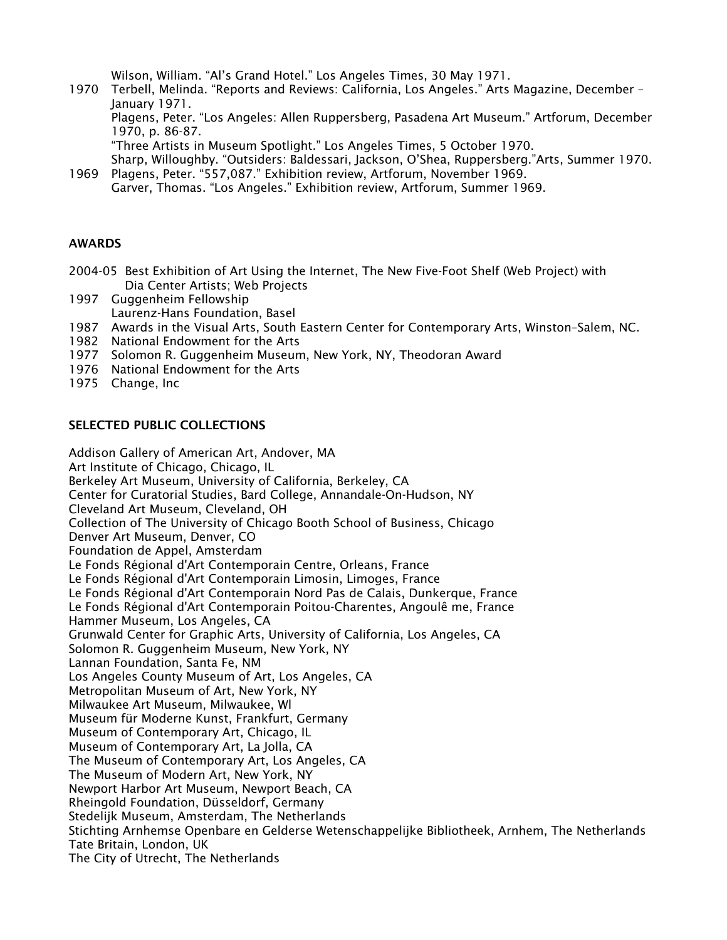Wilson, William. "Al's Grand Hotel." Los Angeles Times, 30 May 1971.

1970 Terbell, Melinda. "Reports and Reviews: California, Los Angeles." Arts Magazine, December – January 1971.

Plagens, Peter. "Los Angeles: Allen Ruppersberg, Pasadena Art Museum." Artforum, December 1970, p. 86-87.

"Three Artists in Museum Spotlight." Los Angeles Times, 5 October 1970.

Sharp, Willoughby. "Outsiders: Baldessari, Jackson, O'Shea, Ruppersberg."Arts, Summer 1970. 1969 Plagens, Peter. "557,087." Exhibition review, Artforum, November 1969.

Garver, Thomas. "Los Angeles." Exhibition review, Artforum, Summer 1969.

## AWARDS

- 2004-05 Best Exhibition of Art Using the Internet, The New Five-Foot Shelf (Web Project) with Dia Center Artists; Web Projects
- 1997 Guggenheim Fellowship Laurenz-Hans Foundation, Basel
- 1987 Awards in the Visual Arts, South Eastern Center for Contemporary Arts, Winston–Salem, NC.
- 1982 National Endowment for the Arts
- 1977 Solomon R. Guggenheim Museum, New York, NY, Theodoran Award
- 1976 National Endowment for the Arts
- 1975 Change, Inc

### SELECTED PUBLIC COLLECTIONS

Addison Gallery of American Art, Andover, MA Art Institute of Chicago, Chicago, IL Berkeley Art Museum, University of California, Berkeley, CA Center for Curatorial Studies, Bard College, Annandale-On-Hudson, NY Cleveland Art Museum, Cleveland, OH Collection of The University of Chicago Booth School of Business, Chicago Denver Art Museum, Denver, CO Foundation de Appel, Amsterdam Le Fonds Régional d'Art Contemporain Centre, Orleans, France Le Fonds Régional d'Art Contemporain Limosin, Limoges, France Le Fonds Régional d'Art Contemporain Nord Pas de Calais, Dunkerque, France Le Fonds Régional d'Art Contemporain Poitou-Charentes, Angoulê me, France Hammer Museum, Los Angeles, CA Grunwald Center for Graphic Arts, University of California, Los Angeles, CA Solomon R. Guggenheim Museum, New York, NY Lannan Foundation, Santa Fe, NM Los Angeles County Museum of Art, Los Angeles, CA Metropolitan Museum of Art, New York, NY Milwaukee Art Museum, Milwaukee, Wl Museum für Moderne Kunst, Frankfurt, Germany Museum of Contemporary Art, Chicago, IL Museum of Contemporary Art, La Jolla, CA The Museum of Contemporary Art, Los Angeles, CA The Museum of Modern Art, New York, NY Newport Harbor Art Museum, Newport Beach, CA Rheingold Foundation, Düsseldorf, Germany Stedelijk Museum, Amsterdam, The Netherlands Stichting Arnhemse Openbare en Gelderse Wetenschappelijke Bibliotheek, Arnhem, The Netherlands Tate Britain, London, UK The City of Utrecht, The Netherlands